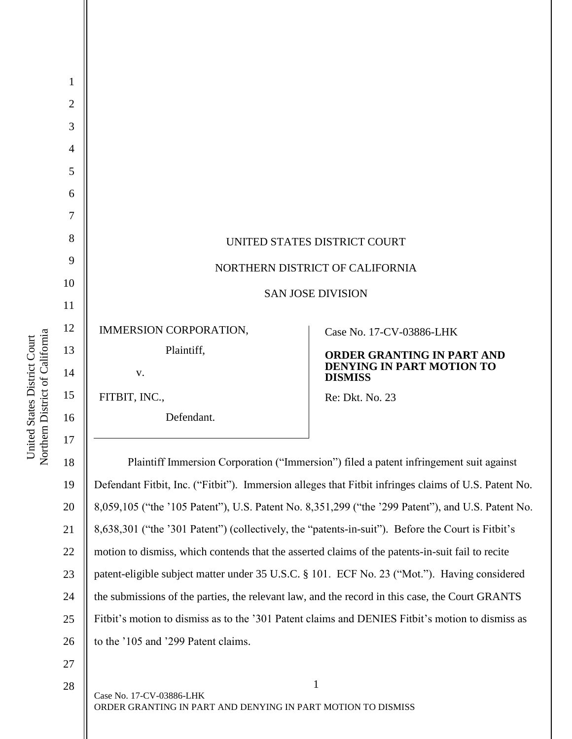| 1              |                                                                                                      |                                                    |
|----------------|------------------------------------------------------------------------------------------------------|----------------------------------------------------|
| $\overline{2}$ |                                                                                                      |                                                    |
| 3              |                                                                                                      |                                                    |
| 4              |                                                                                                      |                                                    |
| 5              |                                                                                                      |                                                    |
| 6              |                                                                                                      |                                                    |
| 7              |                                                                                                      |                                                    |
| 8              |                                                                                                      | UNITED STATES DISTRICT COURT                       |
| 9              | NORTHERN DISTRICT OF CALIFORNIA                                                                      |                                                    |
| 10             | <b>SAN JOSE DIVISION</b>                                                                             |                                                    |
| 11             |                                                                                                      |                                                    |
| 12             | IMMERSION CORPORATION,                                                                               | Case No. 17-CV-03886-LHK                           |
| 13             | Plaintiff,                                                                                           | ORDER GRANTING IN PART AND                         |
| 14             | V.                                                                                                   | <b>DENYING IN PART MOTION TO</b><br><b>DISMISS</b> |
| 15             | FITBIT, INC.,                                                                                        | Re: Dkt. No. 23                                    |
| 16             | Defendant.                                                                                           |                                                    |
| 17             |                                                                                                      |                                                    |
| 18             | Plaintiff Immersion Corporation ("Immersion") filed a patent infringement suit against               |                                                    |
| 19             | Defendant Fitbit, Inc. ("Fitbit"). Immersion alleges that Fitbit infringes claims of U.S. Patent No. |                                                    |
| 20             | 8,059,105 ("the '105 Patent"), U.S. Patent No. 8,351,299 ("the '299 Patent"), and U.S. Patent No.    |                                                    |
| 21             | 8,638,301 ("the '301 Patent") (collectively, the "patents-in-suit"). Before the Court is Fitbit's    |                                                    |
| 22             | motion to dismiss, which contends that the asserted claims of the patents-in-suit fail to recite     |                                                    |
| 23             | patent-eligible subject matter under 35 U.S.C. § 101. ECF No. 23 ("Mot."). Having considered         |                                                    |
| 24             | the submissions of the parties, the relevant law, and the record in this case, the Court GRANTS      |                                                    |
| 25             | Fitbit's motion to dismiss as to the '301 Patent claims and DENIES Fitbit's motion to dismiss as     |                                                    |
| 26             | to the '105 and '299 Patent claims.                                                                  |                                                    |
| 27             |                                                                                                      |                                                    |
| 28             |                                                                                                      | 1                                                  |

United States District Court<br>Northern District of California Northern District of California United States District Court

28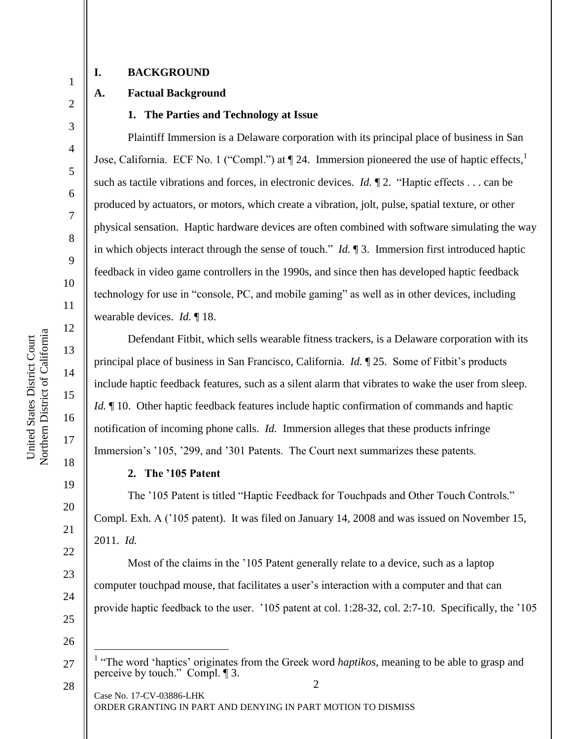2

3

4

5

6

7

8

9

10

11

12

13

14

15

16

17

18

19

20

21

22

23

24

## **I. BACKGROUND**

#### **A. Factual Background**

#### **1. The Parties and Technology at Issue**

Plaintiff Immersion is a Delaware corporation with its principal place of business in San Jose, California. ECF No. 1 ("Compl.") at  $\P$  24. Immersion pioneered the use of haptic effects,<sup>1</sup> such as tactile vibrations and forces, in electronic devices. *Id.*  $\mathbb{I}$  2. "Haptic effects . . . can be produced by actuators, or motors, which create a vibration, jolt, pulse, spatial texture, or other physical sensation. Haptic hardware devices are often combined with software simulating the way in which objects interact through the sense of touch." *Id.* ¶ 3. Immersion first introduced haptic feedback in video game controllers in the 1990s, and since then has developed haptic feedback technology for use in "console, PC, and mobile gaming" as well as in other devices, including wearable devices. *Id.* ¶ 18.

Defendant Fitbit, which sells wearable fitness trackers, is a Delaware corporation with its principal place of business in San Francisco, California. *Id.* ¶ 25. Some of Fitbit's products include haptic feedback features, such as a silent alarm that vibrates to wake the user from sleep. *Id.*  $\parallel$  10. Other haptic feedback features include haptic confirmation of commands and haptic notification of incoming phone calls. *Id.* Immersion alleges that these products infringe Immersion's '105, '299, and '301 Patents. The Court next summarizes these patents.

#### **2. The '105 Patent**

The '105 Patent is titled "Haptic Feedback for Touchpads and Other Touch Controls." Compl. Exh. A ('105 patent). It was filed on January 14, 2008 and was issued on November 15, 2011. *Id.*

Most of the claims in the '105 Patent generally relate to a device, such as a laptop computer touchpad mouse, that facilitates a user's interaction with a computer and that can provide haptic feedback to the user. '105 patent at col. 1:28-32, col. 2:7-10. Specifically, the '105

25 26

Case No. 17-CV-03886-LHK ORDER GRANTING IN PART AND DENYING IN PART MOTION TO DISMISS

28

27

 $\overline{a}$ 

<sup>2</sup> <sup>1</sup> "The word 'haptics' originates from the Greek word *haptikos*, meaning to be able to grasp and perceive by touch." Compl. ¶ 3.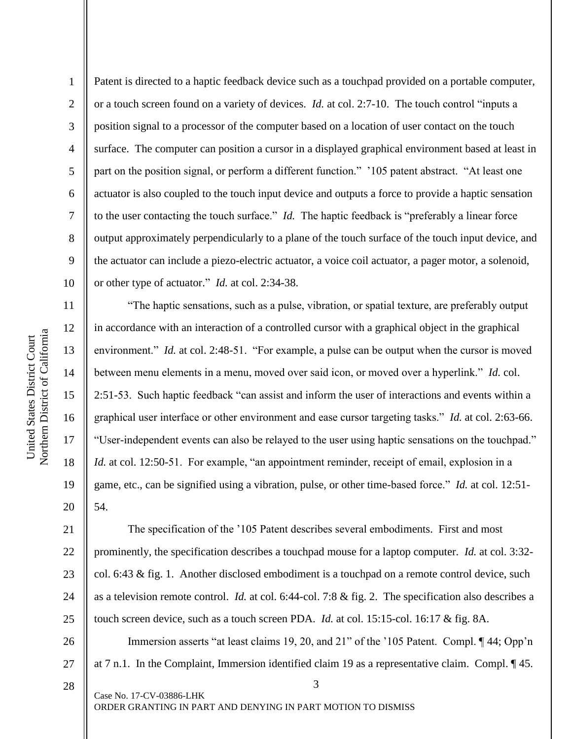2

3

4

5

6

7

8

9

10

11

12

13

14

15

16

17

18

19

20

Patent is directed to a haptic feedback device such as a touchpad provided on a portable computer, or a touch screen found on a variety of devices. *Id.* at col. 2:7-10. The touch control "inputs a position signal to a processor of the computer based on a location of user contact on the touch surface. The computer can position a cursor in a displayed graphical environment based at least in part on the position signal, or perform a different function." '105 patent abstract. "At least one actuator is also coupled to the touch input device and outputs a force to provide a haptic sensation to the user contacting the touch surface." *Id.* The haptic feedback is "preferably a linear force output approximately perpendicularly to a plane of the touch surface of the touch input device, and the actuator can include a piezo-electric actuator, a voice coil actuator, a pager motor, a solenoid, or other type of actuator." *Id.* at col. 2:34-38.

"The haptic sensations, such as a pulse, vibration, or spatial texture, are preferably output in accordance with an interaction of a controlled cursor with a graphical object in the graphical environment." *Id.* at col. 2:48-51. "For example, a pulse can be output when the cursor is moved between menu elements in a menu, moved over said icon, or moved over a hyperlink." *Id.* col. 2:51-53. Such haptic feedback "can assist and inform the user of interactions and events within a graphical user interface or other environment and ease cursor targeting tasks." *Id.* at col. 2:63-66. "User-independent events can also be relayed to the user using haptic sensations on the touchpad." *Id.* at col. 12:50-51. For example, "an appointment reminder, receipt of email, explosion in a game, etc., can be signified using a vibration, pulse, or other time-based force." *Id.* at col. 12:51- 54.

21 22 23 24 25 The specification of the '105 Patent describes several embodiments. First and most prominently, the specification describes a touchpad mouse for a laptop computer. *Id.* at col. 3:32 col. 6:43 & fig. 1. Another disclosed embodiment is a touchpad on a remote control device, such as a television remote control. *Id.* at col. 6:44-col. 7:8 & fig. 2. The specification also describes a touch screen device, such as a touch screen PDA. *Id.* at col. 15:15-col. 16:17 & fig. 8A.

3 26 27 28 Immersion asserts "at least claims 19, 20, and 21" of the '105 Patent. Compl.  $\P$  44; Opp'n at 7 n.1. In the Complaint, Immersion identified claim 19 as a representative claim. Compl. ¶ 45.

Case No. 17-CV-03886-LHK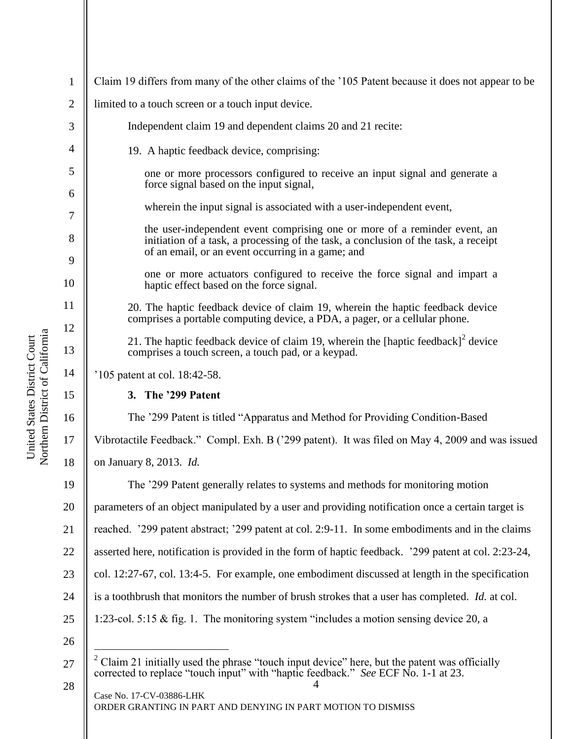| $\mathbf{1}$   | Claim 19 differs from many of the other claims of the '105 Patent because it does not appear to be                                                                                                                    |  |
|----------------|-----------------------------------------------------------------------------------------------------------------------------------------------------------------------------------------------------------------------|--|
| $\overline{2}$ | limited to a touch screen or a touch input device.                                                                                                                                                                    |  |
| 3              | Independent claim 19 and dependent claims 20 and 21 recite:                                                                                                                                                           |  |
| 4              | 19. A haptic feedback device, comprising:                                                                                                                                                                             |  |
| 5              | one or more processors configured to receive an input signal and generate a<br>force signal based on the input signal,                                                                                                |  |
| 6              | wherein the input signal is associated with a user-independent event,                                                                                                                                                 |  |
| 7              |                                                                                                                                                                                                                       |  |
| 8              | the user-independent event comprising one or more of a reminder event, an<br>initiation of a task, a processing of the task, a conclusion of the task, a receipt<br>of an email, or an event occurring in a game; and |  |
| 9<br>10        | one or more actuators configured to receive the force signal and impart a<br>haptic effect based on the force signal.                                                                                                 |  |
| 11             | 20. The haptic feedback device of claim 19, wherein the haptic feedback device<br>comprises a portable computing device, a PDA, a pager, or a cellular phone.                                                         |  |
| 12<br>13       | 21. The haptic feedback device of claim 19, wherein the [haptic feedback] <sup>2</sup> device<br>comprises a touch screen, a touch pad, or a keypad.                                                                  |  |
| 14             | '105 patent at col. 18:42-58.                                                                                                                                                                                         |  |
| 15             | 3. The '299 Patent                                                                                                                                                                                                    |  |
| 16             | The '299 Patent is titled "Apparatus and Method for Providing Condition-Based                                                                                                                                         |  |
| 17             | Vibrotactile Feedback." Compl. Exh. B ('299 patent). It was filed on May 4, 2009 and was issued                                                                                                                       |  |
| 18             | on January 8, 2013. Id.                                                                                                                                                                                               |  |
| 19             | The '299 Patent generally relates to systems and methods for monitoring motion                                                                                                                                        |  |
| 20             | parameters of an object manipulated by a user and providing notification once a certain target is                                                                                                                     |  |
| 21             | reached. '299 patent abstract; '299 patent at col. 2:9-11. In some embodiments and in the claims                                                                                                                      |  |
| 22             | asserted here, notification is provided in the form of haptic feedback. '299 patent at col. 2:23-24,                                                                                                                  |  |
| 23             | col. 12:27-67, col. 13:4-5. For example, one embodiment discussed at length in the specification                                                                                                                      |  |
| 24             | is a toothbrush that monitors the number of brush strokes that a user has completed. Id. at col.                                                                                                                      |  |
| 25             | 1:23-col. 5:15 & fig. 1. The monitoring system "includes a motion sensing device 20, a                                                                                                                                |  |
| 26             |                                                                                                                                                                                                                       |  |
| 27             | Claim 21 initially used the phrase "touch input device" here, but the patent was officially<br>corrected to replace "touch input" with "haptic feedback." See ECF No. 1-1 at 23.                                      |  |
| 28             | Case No. 17-CV-03886-LHK<br>ORDER GRANTING IN PART AND DENYING IN PART MOTION TO DISMISS                                                                                                                              |  |

United States District Court<br>Northern District of California Northern District of California United States District Court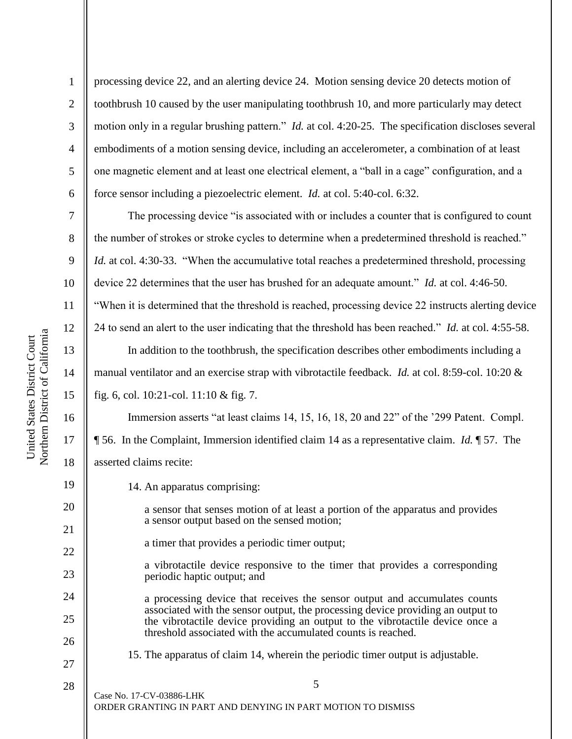7

8

9

10

11

12

13

14

15

16

17

18

19

20

21

22

23

24

25

26

2 3 4 5 6 processing device 22, and an alerting device 24. Motion sensing device 20 detects motion of toothbrush 10 caused by the user manipulating toothbrush 10, and more particularly may detect motion only in a regular brushing pattern." *Id.* at col. 4:20-25. The specification discloses several embodiments of a motion sensing device, including an accelerometer, a combination of at least one magnetic element and at least one electrical element, a "ball in a cage" configuration, and a force sensor including a piezoelectric element. *Id.* at col. 5:40-col. 6:32.

The processing device "is associated with or includes a counter that is configured to count the number of strokes or stroke cycles to determine when a predetermined threshold is reached." *Id.* at col. 4:30-33. "When the accumulative total reaches a predetermined threshold, processing device 22 determines that the user has brushed for an adequate amount." *Id.* at col. 4:46-50.

"When it is determined that the threshold is reached, processing device 22 instructs alerting device

24 to send an alert to the user indicating that the threshold has been reached." *Id.* at col. 4:55-58.

In addition to the toothbrush, the specification describes other embodiments including a manual ventilator and an exercise strap with vibrotactile feedback. *Id.* at col. 8:59-col. 10:20 & fig. 6, col. 10:21-col. 11:10 & fig. 7.

Immersion asserts "at least claims 14, 15, 16, 18, 20 and 22" of the '299 Patent. Compl. ¶ 56. In the Complaint, Immersion identified claim 14 as a representative claim. *Id.* ¶ 57. The asserted claims recite:

14. An apparatus comprising:

a sensor that senses motion of at least a portion of the apparatus and provides a sensor output based on the sensed motion;

a timer that provides a periodic timer output;

a vibrotactile device responsive to the timer that provides a corresponding periodic haptic output; and

a processing device that receives the sensor output and accumulates counts associated with the sensor output, the processing device providing an output to the vibrotactile device providing an output to the vibrotactile device once a threshold associated with the accumulated counts is reached.

27

15. The apparatus of claim 14, wherein the periodic timer output is adjustable.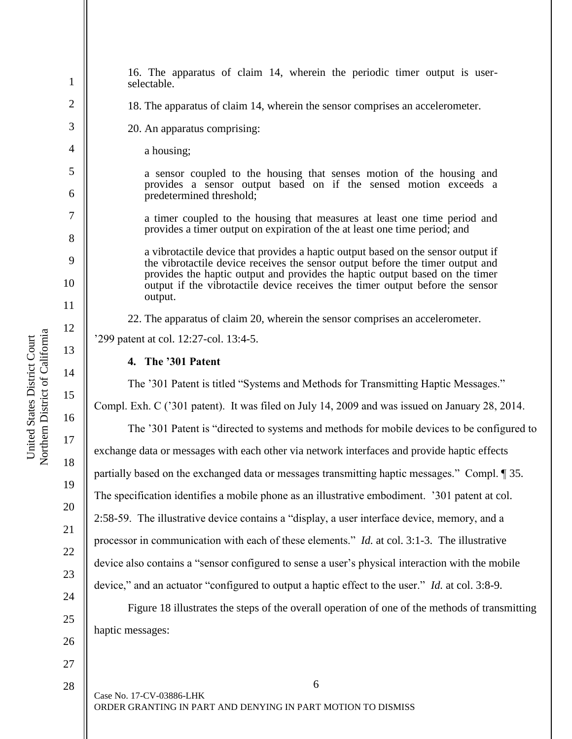1 2 3 4 5 6 7 8 9 10 11 12 13 14 15 16 17 18 19 20 21 22 23 24 25 26 16. The apparatus of claim 14, wherein the periodic timer output is userselectable. 18. The apparatus of claim 14, wherein the sensor comprises an accelerometer. 20. An apparatus comprising: a housing; a sensor coupled to the housing that senses motion of the housing and provides a sensor output based on if the sensed motion exceeds a predetermined threshold; a timer coupled to the housing that measures at least one time period and provides a timer output on expiration of the at least one time period; and a vibrotactile device that provides a haptic output based on the sensor output if the vibrotactile device receives the sensor output before the timer output and provides the haptic output and provides the haptic output based on the timer output if the vibrotactile device receives the timer output before the sensor output. 22. The apparatus of claim 20, wherein the sensor comprises an accelerometer. '299 patent at col. 12:27-col. 13:4-5. **4. The '301 Patent** The '301 Patent is titled "Systems and Methods for Transmitting Haptic Messages." Compl. Exh. C ('301 patent). It was filed on July 14, 2009 and was issued on January 28, 2014. The '301 Patent is "directed to systems and methods for mobile devices to be configured to exchange data or messages with each other via network interfaces and provide haptic effects partially based on the exchanged data or messages transmitting haptic messages." Compl. ¶ 35. The specification identifies a mobile phone as an illustrative embodiment. '301 patent at col. 2:58-59. The illustrative device contains a "display, a user interface device, memory, and a processor in communication with each of these elements." *Id.* at col. 3:1-3. The illustrative device also contains a "sensor configured to sense a user's physical interaction with the mobile device," and an actuator "configured to output a haptic effect to the user." *Id.* at col. 3:8-9. Figure 18 illustrates the steps of the overall operation of one of the methods of transmitting haptic messages:

Northern District of California Northern District of California United States District Court United States District Court

28

27

6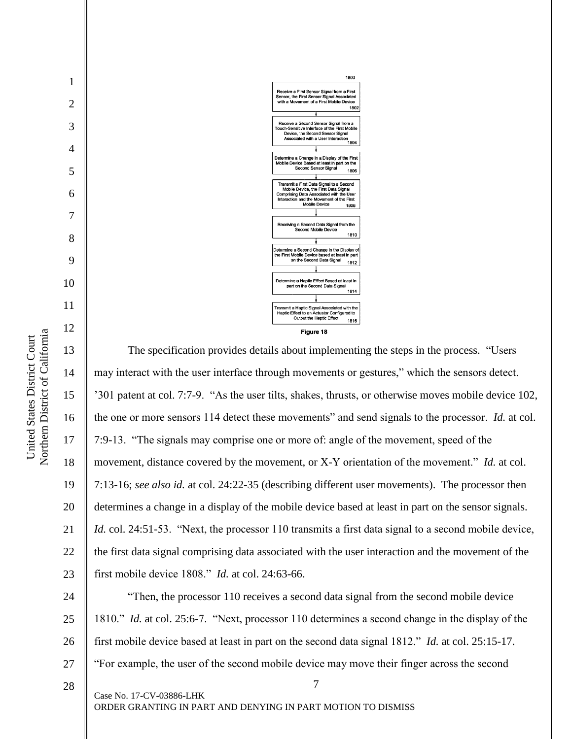

Northern District of California Northern District of California United States District Court United States District Court

1

2

3

4

5

6

7

8

9

10

11

12

13 14 15 16 17 18 19 20 21 22 23 24 25 The specification provides details about implementing the steps in the process. "Users may interact with the user interface through movements or gestures," which the sensors detect. '301 patent at col. 7:7-9. "As the user tilts, shakes, thrusts, or otherwise moves mobile device 102, the one or more sensors 114 detect these movements" and send signals to the processor. *Id.* at col. 7:9-13. "The signals may comprise one or more of: angle of the movement, speed of the movement, distance covered by the movement, or X-Y orientation of the movement." *Id.* at col. 7:13-16; *see also id.* at col. 24:22-35 (describing different user movements). The processor then determines a change in a display of the mobile device based at least in part on the sensor signals. *Id.* col. 24:51-53. "Next, the processor 110 transmits a first data signal to a second mobile device, the first data signal comprising data associated with the user interaction and the movement of the first mobile device 1808." *Id.* at col. 24:63-66. "Then, the processor 110 receives a second data signal from the second mobile device 1810." *Id.* at col. 25:6-7. "Next, processor 110 determines a second change in the display of the

26 first mobile device based at least in part on the second data signal 1812." *Id.* at col. 25:15-17.

7

27 "For example, the user of the second mobile device may move their finger across the second

28

Case No. 17-CV-03886-LHK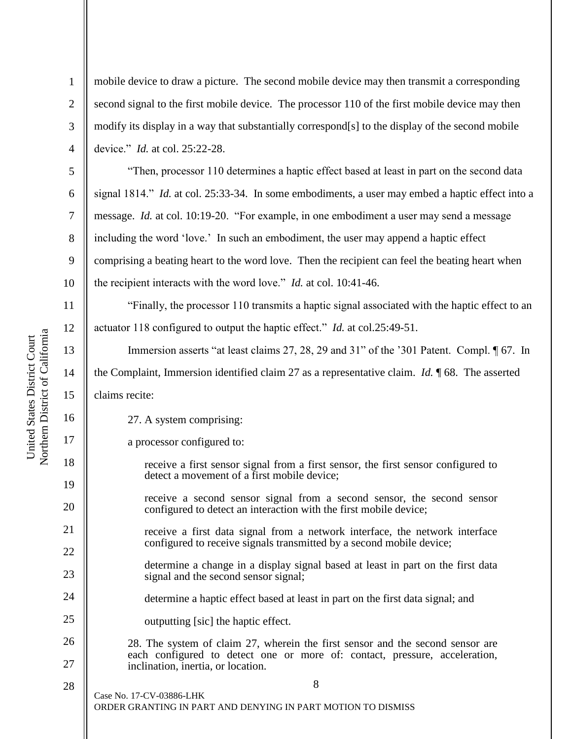2

3

4

5

6

7

8

9

10

13

14

15

16

17

18

19

20

21

22

23

24

25

mobile device to draw a picture. The second mobile device may then transmit a corresponding second signal to the first mobile device. The processor 110 of the first mobile device may then modify its display in a way that substantially correspond[s] to the display of the second mobile device." *Id.* at col. 25:22-28.

"Then, processor 110 determines a haptic effect based at least in part on the second data signal 1814." *Id.* at col. 25:33-34. In some embodiments, a user may embed a haptic effect into a message. *Id.* at col. 10:19-20. "For example, in one embodiment a user may send a message including the word 'love.' In such an embodiment, the user may append a haptic effect comprising a beating heart to the word love. Then the recipient can feel the beating heart when the recipient interacts with the word love." *Id.* at col. 10:41-46.

11 12 "Finally, the processor 110 transmits a haptic signal associated with the haptic effect to an actuator 118 configured to output the haptic effect." *Id.* at col.25:49-51.

Immersion asserts "at least claims 27, 28, 29 and 31" of the '301 Patent. Compl. ¶ 67. In the Complaint, Immersion identified claim 27 as a representative claim. *Id.* ¶ 68. The asserted claims recite:

27. A system comprising:

a processor configured to:

receive a first sensor signal from a first sensor, the first sensor configured to detect a movement of a first mobile device;

- receive a second sensor signal from a second sensor, the second sensor configured to detect an interaction with the first mobile device;
- receive a first data signal from a network interface, the network interface configured to receive signals transmitted by a second mobile device;
	- determine a change in a display signal based at least in part on the first data signal and the second sensor signal;
- determine a haptic effect based at least in part on the first data signal; and
- outputting [sic] the haptic effect.
- 26 27 28. The system of claim 27, wherein the first sensor and the second sensor are each configured to detect one or more of: contact, pressure, acceleration, inclination, inertia, or location.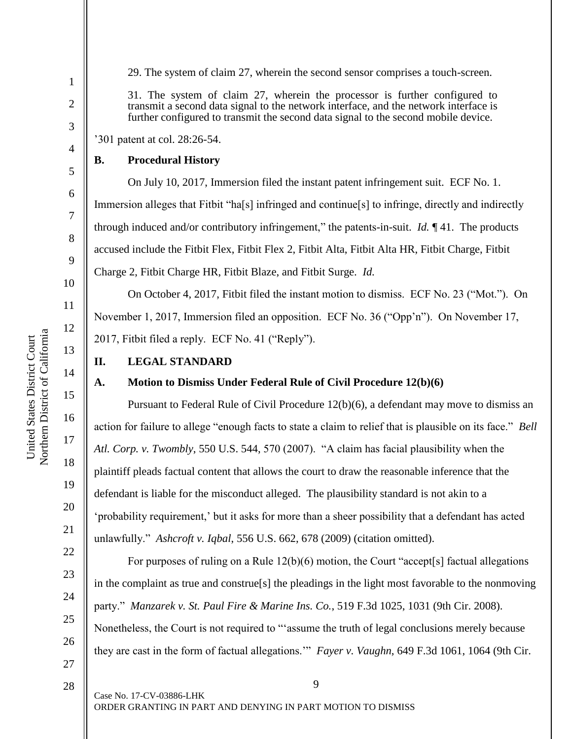29. The system of claim 27, wherein the second sensor comprises a touch-screen.

31. The system of claim 27, wherein the processor is further configured to transmit a second data signal to the network interface, and the network interface is further configured to transmit the second data signal to the second mobile device.

'301 patent at col. 28:26-54.

#### **B. Procedural History**

On July 10, 2017, Immersion filed the instant patent infringement suit. ECF No. 1. Immersion alleges that Fitbit "ha[s] infringed and continue[s] to infringe, directly and indirectly through induced and/or contributory infringement," the patents-in-suit. *Id.* ¶ 41. The products accused include the Fitbit Flex, Fitbit Flex 2, Fitbit Alta, Fitbit Alta HR, Fitbit Charge, Fitbit Charge 2, Fitbit Charge HR, Fitbit Blaze, and Fitbit Surge. *Id.*

On October 4, 2017, Fitbit filed the instant motion to dismiss. ECF No. 23 ("Mot."). On November 1, 2017, Immersion filed an opposition. ECF No. 36 ("Opp'n"). On November 17, 2017, Fitbit filed a reply. ECF No. 41 ("Reply").

## **II. LEGAL STANDARD**

#### **A. Motion to Dismiss Under Federal Rule of Civil Procedure 12(b)(6)**

Pursuant to Federal Rule of Civil Procedure 12(b)(6), a defendant may move to dismiss an action for failure to allege "enough facts to state a claim to relief that is plausible on its face." *Bell Atl. Corp. v. Twombly*, 550 U.S. 544, 570 (2007). "A claim has facial plausibility when the plaintiff pleads factual content that allows the court to draw the reasonable inference that the defendant is liable for the misconduct alleged. The plausibility standard is not akin to a 'probability requirement,' but it asks for more than a sheer possibility that a defendant has acted unlawfully." *Ashcroft v. Iqbal*, 556 U.S. 662, 678 (2009) (citation omitted).

For purposes of ruling on a Rule 12(b)(6) motion, the Court "accept[s] factual allegations in the complaint as true and construe[s] the pleadings in the light most favorable to the nonmoving party." *Manzarek v. St. Paul Fire & Marine Ins. Co.*, 519 F.3d 1025, 1031 (9th Cir. 2008). Nonetheless, the Court is not required to "'assume the truth of legal conclusions merely because they are cast in the form of factual allegations.'" *Fayer v. Vaughn*, 649 F.3d 1061, 1064 (9th Cir.

9

ORDER GRANTING IN PART AND DENYING IN PART MOTION TO DISMISS

Northern District of California Northern District of California United States District Court United States District Court

1

2

3

4

5

6

7

8

9

10

11

12

13

14

15

16

17

18

19

20

21

22

23

24

25

26

27

28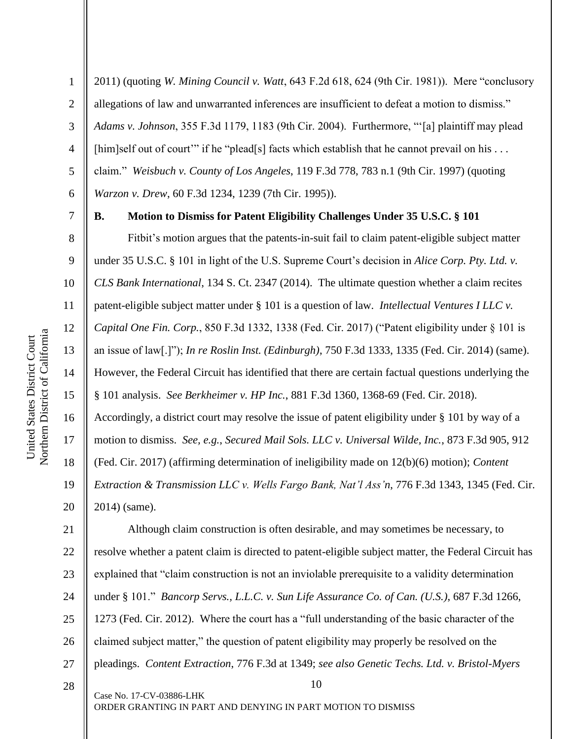2011) (quoting *W. Mining Council v. Watt*, 643 F.2d 618, 624 (9th Cir. 1981)). Mere "conclusory allegations of law and unwarranted inferences are insufficient to defeat a motion to dismiss." *Adams v. Johnson*, 355 F.3d 1179, 1183 (9th Cir. 2004). Furthermore, "'[a] plaintiff may plead [him]self out of court" if he "plead[s] facts which establish that he cannot prevail on his ... claim." *Weisbuch v. County of Los Angeles*, 119 F.3d 778, 783 n.1 (9th Cir. 1997) (quoting *Warzon v. Drew*, 60 F.3d 1234, 1239 (7th Cir. 1995)).

7

1

2

3

4

5

6

8

9

10

11

12

13

14

15

16

17

18

19

20

## **B. Motion to Dismiss for Patent Eligibility Challenges Under 35 U.S.C. § 101**

Fitbit's motion argues that the patents-in-suit fail to claim patent-eligible subject matter under 35 U.S.C. § 101 in light of the U.S. Supreme Court's decision in *Alice Corp. Pty. Ltd. v. CLS Bank International*, 134 S. Ct. 2347 (2014). The ultimate question whether a claim recites patent-eligible subject matter under § 101 is a question of law. *Intellectual Ventures I LLC v. Capital One Fin. Corp.*, 850 F.3d 1332, 1338 (Fed. Cir. 2017) ("Patent eligibility under § 101 is an issue of law[.]"); *In re Roslin Inst. (Edinburgh)*, 750 F.3d 1333, 1335 (Fed. Cir. 2014) (same). However, the Federal Circuit has identified that there are certain factual questions underlying the § 101 analysis. *See Berkheimer v. HP Inc.*, 881 F.3d 1360, 1368-69 (Fed. Cir. 2018). Accordingly, a district court may resolve the issue of patent eligibility under § 101 by way of a motion to dismiss. *See, e.g.*, *Secured Mail Sols. LLC v. Universal Wilde, Inc.*, 873 F.3d 905, 912 (Fed. Cir. 2017) (affirming determination of ineligibility made on 12(b)(6) motion); *Content Extraction & Transmission LLC v. Wells Fargo Bank, Nat'l Ass'n*, 776 F.3d 1343, 1345 (Fed. Cir. 2014) (same).

10 21 22 23 24 25 26 27 Although claim construction is often desirable, and may sometimes be necessary, to resolve whether a patent claim is directed to patent-eligible subject matter, the Federal Circuit has explained that "claim construction is not an inviolable prerequisite to a validity determination under § 101." *Bancorp Servs., L.L.C. v. Sun Life Assurance Co. of Can. (U.S.)*, 687 F.3d 1266, 1273 (Fed. Cir. 2012). Where the court has a "full understanding of the basic character of the claimed subject matter," the question of patent eligibility may properly be resolved on the pleadings. *Content Extraction*, 776 F.3d at 1349; *see also Genetic Techs. Ltd. v. Bristol-Myers* 

28

Case No. 17-CV-03886-LHK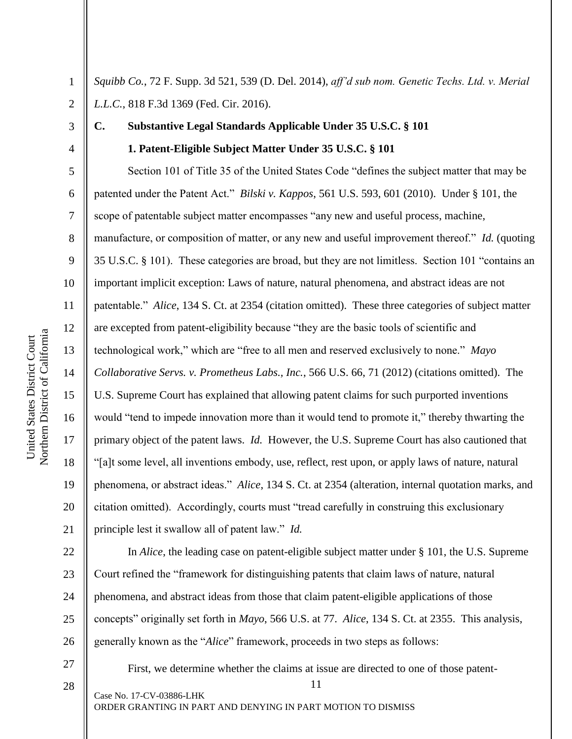2 *Squibb Co.*, 72 F. Supp. 3d 521, 539 (D. Del. 2014), *aff'd sub nom. Genetic Techs. Ltd. v. Merial L.L.C.*, 818 F.3d 1369 (Fed. Cir. 2016).

3

1

4

5

6

7

8

9

10

11

12

13

14

15

16

17

18

19

20

21

**C. Substantive Legal Standards Applicable Under 35 U.S.C. § 101**

## **1. Patent-Eligible Subject Matter Under 35 U.S.C. § 101**

Section 101 of Title 35 of the United States Code "defines the subject matter that may be patented under the Patent Act." *Bilski v. Kappos*, 561 U.S. 593, 601 (2010). Under § 101, the scope of patentable subject matter encompasses "any new and useful process, machine, manufacture, or composition of matter, or any new and useful improvement thereof." *Id.* (quoting 35 U.S.C. § 101). These categories are broad, but they are not limitless. Section 101 "contains an important implicit exception: Laws of nature, natural phenomena, and abstract ideas are not patentable." *Alice*, 134 S. Ct. at 2354 (citation omitted). These three categories of subject matter are excepted from patent-eligibility because "they are the basic tools of scientific and technological work," which are "free to all men and reserved exclusively to none." *Mayo Collaborative Servs. v. Prometheus Labs., Inc.*, 566 U.S. 66, 71 (2012) (citations omitted). The U.S. Supreme Court has explained that allowing patent claims for such purported inventions would "tend to impede innovation more than it would tend to promote it," thereby thwarting the primary object of the patent laws. *Id.* However, the U.S. Supreme Court has also cautioned that "[a]t some level, all inventions embody, use, reflect, rest upon, or apply laws of nature, natural phenomena, or abstract ideas." *Alice*, 134 S. Ct. at 2354 (alteration, internal quotation marks, and citation omitted). Accordingly, courts must "tread carefully in construing this exclusionary principle lest it swallow all of patent law." *Id.*

22 23 24 25 Court refined the "framework for distinguishing patents that claim laws of nature, natural phenomena, and abstract ideas from those that claim patent-eligible applications of those

27

11 Case No. 17-CV-03886-LHK First, we determine whether the claims at issue are directed to one of those patent-

In *Alice*, the leading case on patent-eligible subject matter under § 101, the U.S. Supreme

26 concepts" originally set forth in *Mayo*, 566 U.S. at 77. *Alice*, 134 S. Ct. at 2355. This analysis, generally known as the "*Alice*" framework, proceeds in two steps as follows:

Northern District of California Northern District of California United States District Court United States District Court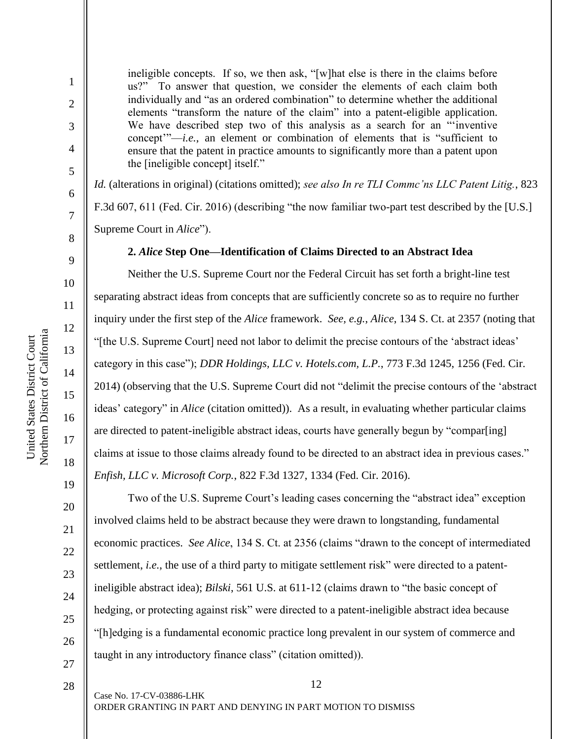2

3

4

5

6

7

8

9

10

11

12

13

14

16

17

18

19

ineligible concepts. If so, we then ask, "[w]hat else is there in the claims before us?" To answer that question, we consider the elements of each claim both individually and "as an ordered combination" to determine whether the additional elements "transform the nature of the claim" into a patent-eligible application. We have described step two of this analysis as a search for an "inventive" concept'"—*i.e.*, an element or combination of elements that is "sufficient to ensure that the patent in practice amounts to significantly more than a patent upon the [ineligible concept] itself."

*Id.* (alterations in original) (citations omitted); *see also In re TLI Commc'ns LLC Patent Litig.*, 823 F.3d 607, 611 (Fed. Cir. 2016) (describing "the now familiar two-part test described by the [U.S.] Supreme Court in *Alice*").

## **2.** *Alice* **Step One—Identification of Claims Directed to an Abstract Idea**

Neither the U.S. Supreme Court nor the Federal Circuit has set forth a bright-line test separating abstract ideas from concepts that are sufficiently concrete so as to require no further inquiry under the first step of the *Alice* framework. *See, e.g.*, *Alice*, 134 S. Ct. at 2357 (noting that "[the U.S. Supreme Court] need not labor to delimit the precise contours of the 'abstract ideas' category in this case"); *DDR Holdings, LLC v. Hotels.com, L.P.*, 773 F.3d 1245, 1256 (Fed. Cir. 2014) (observing that the U.S. Supreme Court did not "delimit the precise contours of the 'abstract ideas' category" in *Alice* (citation omitted)). As a result, in evaluating whether particular claims are directed to patent-ineligible abstract ideas, courts have generally begun by "compar[ing] claims at issue to those claims already found to be directed to an abstract idea in previous cases." *Enfish, LLC v. Microsoft Corp.*, 822 F.3d 1327, 1334 (Fed. Cir. 2016).

27

28

Two of the U.S. Supreme Court's leading cases concerning the "abstract idea" exception involved claims held to be abstract because they were drawn to longstanding, fundamental economic practices. *See Alice*, 134 S. Ct. at 2356 (claims "drawn to the concept of intermediated settlement, *i.e.*, the use of a third party to mitigate settlement risk" were directed to a patentineligible abstract idea); *Bilski*, 561 U.S. at 611-12 (claims drawn to "the basic concept of hedging, or protecting against risk" were directed to a patent-ineligible abstract idea because "[h]edging is a fundamental economic practice long prevalent in our system of commerce and taught in any introductory finance class" (citation omitted)).

12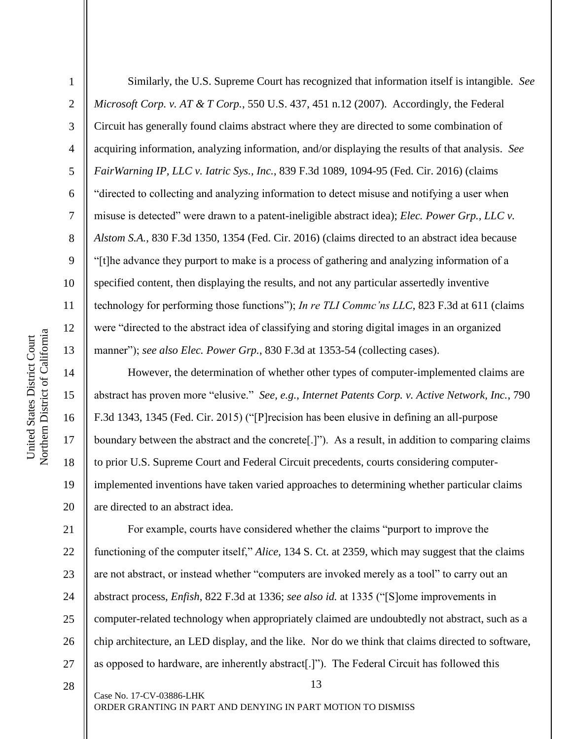2

3

4

5

6

7

8

9

10

11

12

13

14

15

16

17

18

19

20

Similarly, the U.S. Supreme Court has recognized that information itself is intangible. *See Microsoft Corp. v. AT & T Corp.*, 550 U.S. 437, 451 n.12 (2007). Accordingly, the Federal Circuit has generally found claims abstract where they are directed to some combination of acquiring information, analyzing information, and/or displaying the results of that analysis. *See FairWarning IP, LLC v. Iatric Sys., Inc.*, 839 F.3d 1089, 1094-95 (Fed. Cir. 2016) (claims "directed to collecting and analyzing information to detect misuse and notifying a user when misuse is detected" were drawn to a patent-ineligible abstract idea); *Elec. Power Grp., LLC v. Alstom S.A.*, 830 F.3d 1350, 1354 (Fed. Cir. 2016) (claims directed to an abstract idea because "[t]he advance they purport to make is a process of gathering and analyzing information of a specified content, then displaying the results, and not any particular assertedly inventive technology for performing those functions"); *In re TLI Commc'ns LLC*, 823 F.3d at 611 (claims were "directed to the abstract idea of classifying and storing digital images in an organized manner"); *see also Elec. Power Grp.*, 830 F.3d at 1353-54 (collecting cases).

However, the determination of whether other types of computer-implemented claims are abstract has proven more "elusive." *See, e.g.*, *Internet Patents Corp. v. Active Network, Inc.*, 790 F.3d 1343, 1345 (Fed. Cir. 2015) ("[P]recision has been elusive in defining an all-purpose boundary between the abstract and the concrete[.]"). As a result, in addition to comparing claims to prior U.S. Supreme Court and Federal Circuit precedents, courts considering computerimplemented inventions have taken varied approaches to determining whether particular claims are directed to an abstract idea.

21 22 23 24 25 26 27 For example, courts have considered whether the claims "purport to improve the functioning of the computer itself," *Alice*, 134 S. Ct. at 2359, which may suggest that the claims are not abstract, or instead whether "computers are invoked merely as a tool" to carry out an abstract process, *Enfish*, 822 F.3d at 1336; *see also id.* at 1335 ("[S]ome improvements in computer-related technology when appropriately claimed are undoubtedly not abstract, such as a chip architecture, an LED display, and the like. Nor do we think that claims directed to software, as opposed to hardware, are inherently abstract[.]"). The Federal Circuit has followed this

28

Case No. 17-CV-03886-LHK

ORDER GRANTING IN PART AND DENYING IN PART MOTION TO DISMISS

13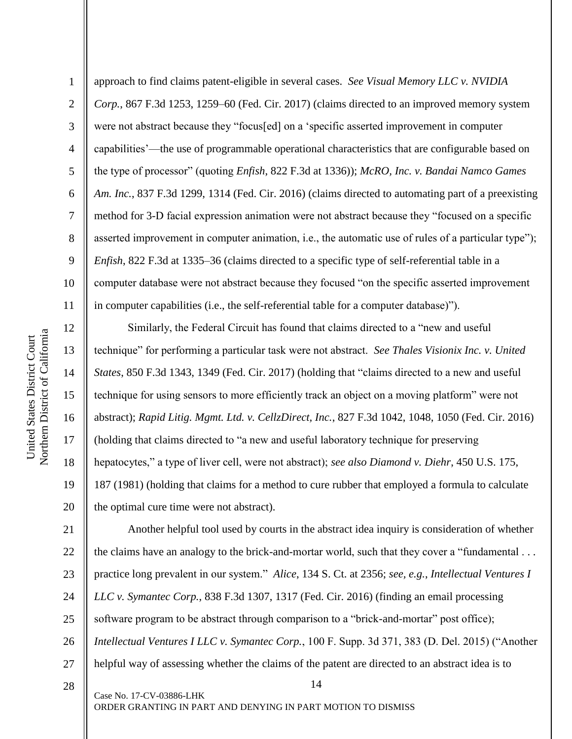13

14

15

16

17

18

19

20

1 2 3 4 5 6 7 8 9 10 11 approach to find claims patent-eligible in several cases. *See Visual Memory LLC v. NVIDIA Corp.*, 867 F.3d 1253, 1259–60 (Fed. Cir. 2017) (claims directed to an improved memory system were not abstract because they "focus[ed] on a 'specific asserted improvement in computer capabilities'—the use of programmable operational characteristics that are configurable based on the type of processor" (quoting *Enfish*, 822 F.3d at 1336)); *McRO, Inc. v. Bandai Namco Games Am. Inc.*, 837 F.3d 1299, 1314 (Fed. Cir. 2016) (claims directed to automating part of a preexisting method for 3-D facial expression animation were not abstract because they "focused on a specific asserted improvement in computer animation, i.e., the automatic use of rules of a particular type"); *Enfish*, 822 F.3d at 1335–36 (claims directed to a specific type of self-referential table in a computer database were not abstract because they focused "on the specific asserted improvement in computer capabilities (i.e., the self-referential table for a computer database)").

Similarly, the Federal Circuit has found that claims directed to a "new and useful technique" for performing a particular task were not abstract. *See Thales Visionix Inc. v. United States*, 850 F.3d 1343, 1349 (Fed. Cir. 2017) (holding that "claims directed to a new and useful technique for using sensors to more efficiently track an object on a moving platform" were not abstract); *Rapid Litig. Mgmt. Ltd. v. CellzDirect, Inc.*, 827 F.3d 1042, 1048, 1050 (Fed. Cir. 2016) (holding that claims directed to "a new and useful laboratory technique for preserving hepatocytes," a type of liver cell, were not abstract); *see also Diamond v. Diehr*, 450 U.S. 175, 187 (1981) (holding that claims for a method to cure rubber that employed a formula to calculate the optimal cure time were not abstract).

14 21 22 23 24 25 26 27 Another helpful tool used by courts in the abstract idea inquiry is consideration of whether the claims have an analogy to the brick-and-mortar world, such that they cover a "fundamental . . . practice long prevalent in our system." *Alice*, 134 S. Ct. at 2356; *see, e.g.*, *Intellectual Ventures I LLC v. Symantec Corp.*, 838 F.3d 1307, 1317 (Fed. Cir. 2016) (finding an email processing software program to be abstract through comparison to a "brick-and-mortar" post office); *Intellectual Ventures I LLC v. Symantec Corp.*, 100 F. Supp. 3d 371, 383 (D. Del. 2015) ("Another helpful way of assessing whether the claims of the patent are directed to an abstract idea is to

28

Case No. 17-CV-03886-LHK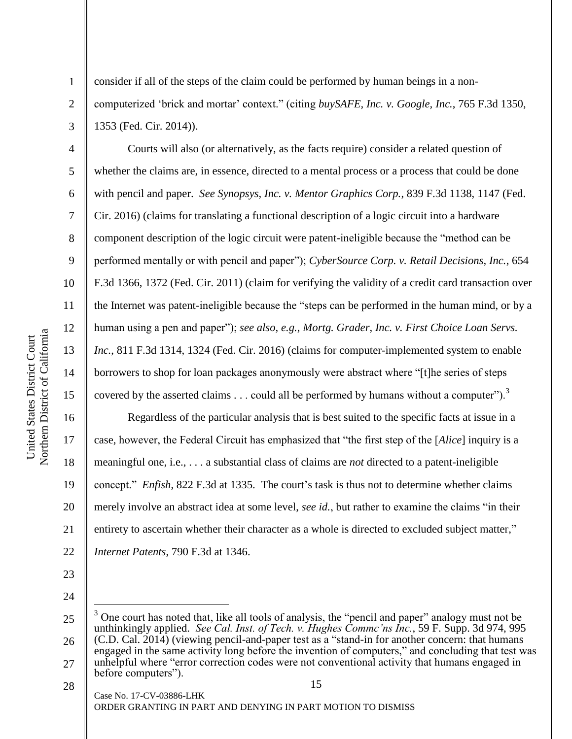5

6

7

8

9

10

11

12

13

14

15

16

17

18

19

20

21

22

1

consider if all of the steps of the claim could be performed by human beings in a noncomputerized 'brick and mortar' context." (citing *buySAFE, Inc. v. Google, Inc.*, 765 F.3d 1350, 1353 (Fed. Cir. 2014)).

Courts will also (or alternatively, as the facts require) consider a related question of whether the claims are, in essence, directed to a mental process or a process that could be done with pencil and paper. *See Synopsys, Inc. v. Mentor Graphics Corp.*, 839 F.3d 1138, 1147 (Fed. Cir. 2016) (claims for translating a functional description of a logic circuit into a hardware component description of the logic circuit were patent-ineligible because the "method can be performed mentally or with pencil and paper"); *CyberSource Corp. v. Retail Decisions, Inc.*, 654 F.3d 1366, 1372 (Fed. Cir. 2011) (claim for verifying the validity of a credit card transaction over the Internet was patent-ineligible because the "steps can be performed in the human mind, or by a human using a pen and paper"); *see also, e.g.*, *Mortg. Grader, Inc. v. First Choice Loan Servs. Inc.*, 811 F.3d 1314, 1324 (Fed. Cir. 2016) (claims for computer-implemented system to enable borrowers to shop for loan packages anonymously were abstract where "[t]he series of steps covered by the asserted claims  $\ldots$  could all be performed by humans without a computer").<sup>3</sup>

Regardless of the particular analysis that is best suited to the specific facts at issue in a case, however, the Federal Circuit has emphasized that "the first step of the [*Alice*] inquiry is a meaningful one, i.e., . . . a substantial class of claims are *not* directed to a patent-ineligible concept." *Enfish*, 822 F.3d at 1335. The court's task is thus not to determine whether claims merely involve an abstract idea at some level, *see id.*, but rather to examine the claims "in their entirety to ascertain whether their character as a whole is directed to excluded subject matter," *Internet Patents*, 790 F.3d at 1346.

- 23
- 24

 $\overline{a}$ 

<sup>25</sup> 26 <sup>3</sup> One court has noted that, like all tools of analysis, the "pencil and paper" analogy must not be unthinkingly applied. *See Cal. Inst. of Tech. v. Hughes Commc'ns Inc.*, 59 F. Supp. 3d 974, 995 (C.D. Cal. 2014) (viewing pencil-and-paper test as a "stand-in for another concern: that humans engaged in the same activity long before the invention of computers," and concluding that test was

<sup>15</sup> 27 unhelpful where "error correction codes were not conventional activity that humans engaged in before computers").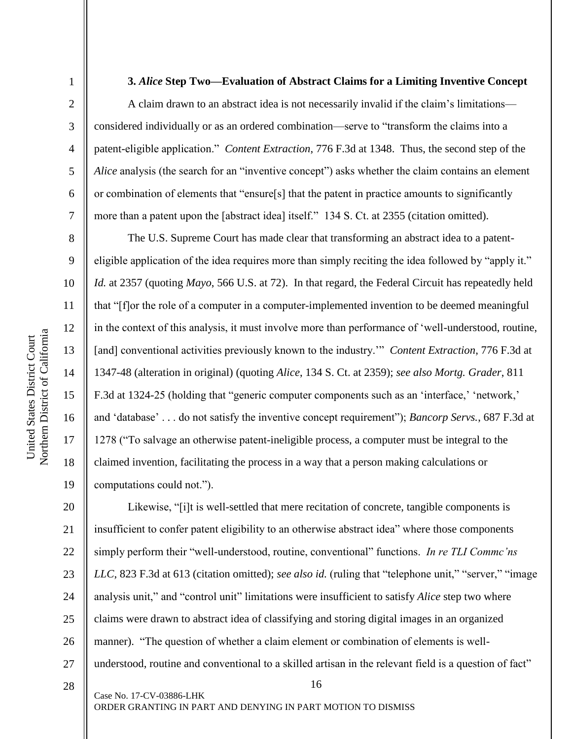2

3

4

5

6

7

8

9

10

11

12

13

14

16

17

18

19

#### **3.** *Alice* **Step Two—Evaluation of Abstract Claims for a Limiting Inventive Concept**

A claim drawn to an abstract idea is not necessarily invalid if the claim's limitations considered individually or as an ordered combination—serve to "transform the claims into a patent-eligible application." *Content Extraction*, 776 F.3d at 1348. Thus, the second step of the *Alice* analysis (the search for an "inventive concept") asks whether the claim contains an element or combination of elements that "ensure[s] that the patent in practice amounts to significantly more than a patent upon the [abstract idea] itself." 134 S. Ct. at 2355 (citation omitted).

The U.S. Supreme Court has made clear that transforming an abstract idea to a patenteligible application of the idea requires more than simply reciting the idea followed by "apply it." *Id.* at 2357 (quoting *Mayo*, 566 U.S. at 72). In that regard, the Federal Circuit has repeatedly held that "[f]or the role of a computer in a computer-implemented invention to be deemed meaningful in the context of this analysis, it must involve more than performance of 'well-understood, routine, [and] conventional activities previously known to the industry.'" *Content Extraction*, 776 F.3d at 1347-48 (alteration in original) (quoting *Alice*, 134 S. Ct. at 2359); *see also Mortg. Grader*, 811 F.3d at 1324-25 (holding that "generic computer components such as an 'interface,' 'network,' and 'database' . . . do not satisfy the inventive concept requirement"); *Bancorp Servs.*, 687 F.3d at 1278 ("To salvage an otherwise patent-ineligible process, a computer must be integral to the claimed invention, facilitating the process in a way that a person making calculations or computations could not.").

20 21 22 23 24 25 26 27 Likewise, "[i]t is well-settled that mere recitation of concrete, tangible components is insufficient to confer patent eligibility to an otherwise abstract idea" where those components simply perform their "well-understood, routine, conventional" functions. *In re TLI Commc'ns LLC*, 823 F.3d at 613 (citation omitted); *see also id.* (ruling that "telephone unit," "server," "image analysis unit," and "control unit" limitations were insufficient to satisfy *Alice* step two where claims were drawn to abstract idea of classifying and storing digital images in an organized manner). "The question of whether a claim element or combination of elements is wellunderstood, routine and conventional to a skilled artisan in the relevant field is a question of fact"

16

28

Case No. 17-CV-03886-LHK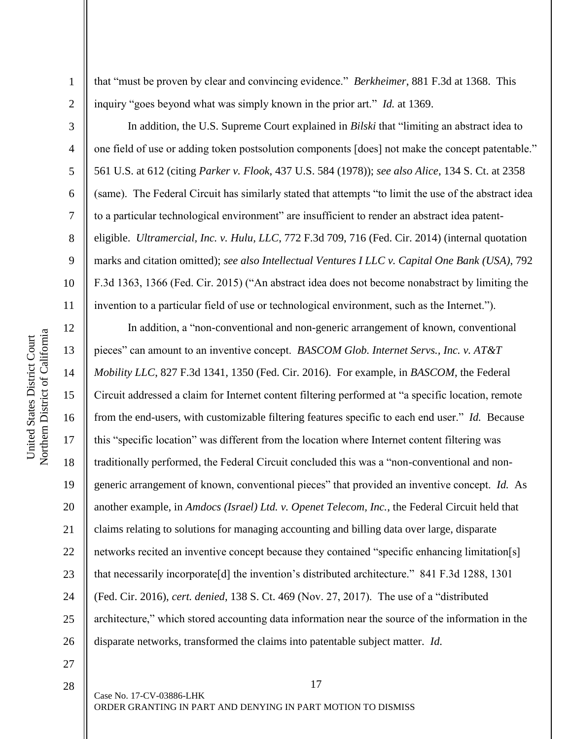2

3

4

5

6

7

8

9

18

19

20

21

22

23

24

25

26

that "must be proven by clear and convincing evidence." *Berkheimer*, 881 F.3d at 1368. This inquiry "goes beyond what was simply known in the prior art." *Id.* at 1369.

In addition, the U.S. Supreme Court explained in *Bilski* that "limiting an abstract idea to one field of use or adding token postsolution components [does] not make the concept patentable." 561 U.S. at 612 (citing *Parker v. Flook*, 437 U.S. 584 (1978)); *see also Alice*, 134 S. Ct. at 2358 (same). The Federal Circuit has similarly stated that attempts "to limit the use of the abstract idea to a particular technological environment" are insufficient to render an abstract idea patenteligible. *Ultramercial, Inc. v. Hulu, LLC*, 772 F.3d 709, 716 (Fed. Cir. 2014) (internal quotation marks and citation omitted); *see also Intellectual Ventures I LLC v. Capital One Bank (USA)*, 792 F.3d 1363, 1366 (Fed. Cir. 2015) ("An abstract idea does not become nonabstract by limiting the invention to a particular field of use or technological environment, such as the Internet.").

In addition, a "non-conventional and non-generic arrangement of known, conventional pieces" can amount to an inventive concept. *BASCOM Glob. Internet Servs., Inc. v. AT&T Mobility LLC*, 827 F.3d 1341, 1350 (Fed. Cir. 2016). For example, in *BASCOM*, the Federal Circuit addressed a claim for Internet content filtering performed at "a specific location, remote from the end-users, with customizable filtering features specific to each end user." *Id.* Because this "specific location" was different from the location where Internet content filtering was traditionally performed, the Federal Circuit concluded this was a "non-conventional and nongeneric arrangement of known, conventional pieces" that provided an inventive concept. *Id.* As another example, in *Amdocs (Israel) Ltd. v. Openet Telecom, Inc.*, the Federal Circuit held that claims relating to solutions for managing accounting and billing data over large, disparate networks recited an inventive concept because they contained "specific enhancing limitation[s] that necessarily incorporate[d] the invention's distributed architecture." 841 F.3d 1288, 1301 (Fed. Cir. 2016), *cert. denied*, 138 S. Ct. 469 (Nov. 27, 2017). The use of a "distributed architecture," which stored accounting data information near the source of the information in the disparate networks, transformed the claims into patentable subject matter. *Id.*

17

27 28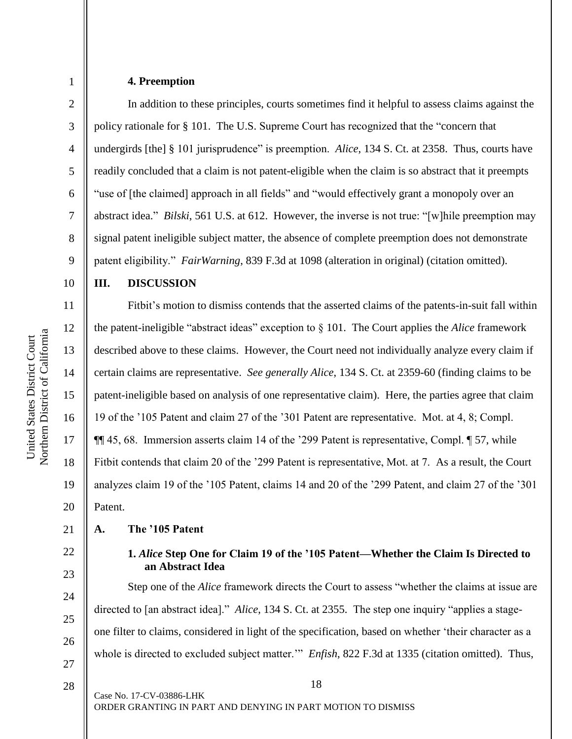6

7

8

9

10

11

12

13

14

15

16

17

18

19

20

22

23

24

25

26

27

1

#### **4. Preemption**

In addition to these principles, courts sometimes find it helpful to assess claims against the policy rationale for § 101. The U.S. Supreme Court has recognized that the "concern that undergirds [the] § 101 jurisprudence" is preemption. *Alice*, 134 S. Ct. at 2358. Thus, courts have readily concluded that a claim is not patent-eligible when the claim is so abstract that it preempts "use of [the claimed] approach in all fields" and "would effectively grant a monopoly over an abstract idea." *Bilski*, 561 U.S. at 612. However, the inverse is not true: "[w]hile preemption may signal patent ineligible subject matter, the absence of complete preemption does not demonstrate patent eligibility." *FairWarning*, 839 F.3d at 1098 (alteration in original) (citation omitted).

#### **III. DISCUSSION**

Fitbit's motion to dismiss contends that the asserted claims of the patents-in-suit fall within the patent-ineligible "abstract ideas" exception to § 101. The Court applies the *Alice* framework described above to these claims. However, the Court need not individually analyze every claim if certain claims are representative. *See generally Alice*, 134 S. Ct. at 2359-60 (finding claims to be patent-ineligible based on analysis of one representative claim). Here, the parties agree that claim 19 of the '105 Patent and claim 27 of the '301 Patent are representative. Mot. at 4, 8; Compl. ¶¶ 45, 68. Immersion asserts claim 14 of the '299 Patent is representative, Compl. ¶ 57, while Fitbit contends that claim 20 of the '299 Patent is representative, Mot. at 7. As a result, the Court analyzes claim 19 of the '105 Patent, claims 14 and 20 of the '299 Patent, and claim 27 of the '301 Patent.

#### 21 **A. The '105 Patent**

# **1.** *Alice* **Step One for Claim 19 of the '105 Patent—Whether the Claim Is Directed to an Abstract Idea**

Step one of the *Alice* framework directs the Court to assess "whether the claims at issue are directed to [an abstract idea]." *Alice*, 134 S. Ct. at 2355. The step one inquiry "applies a stageone filter to claims, considered in light of the specification, based on whether 'their character as a whole is directed to excluded subject matter.'" *Enfish*, 822 F.3d at 1335 (citation omitted). Thus,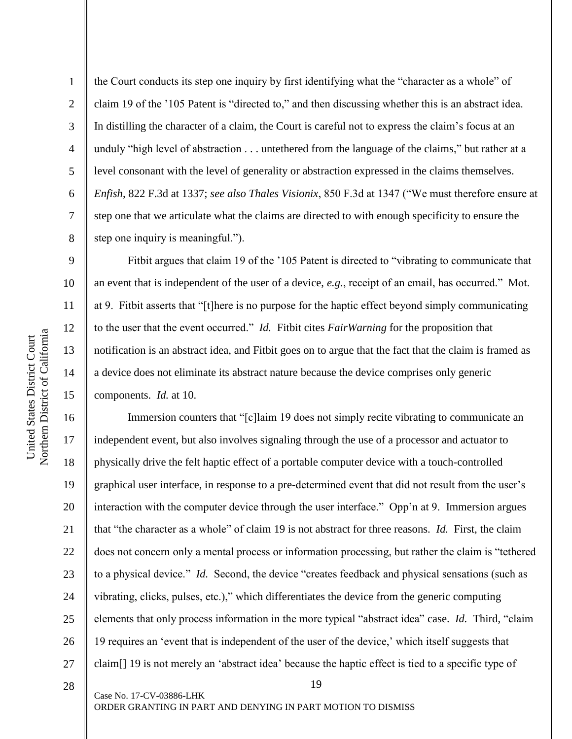Northern District of California Northern District of California United States District Court United States District Court

9

10

11

12

13

14

15

1 2 3 4 5 6 7 8 the Court conducts its step one inquiry by first identifying what the "character as a whole" of claim 19 of the '105 Patent is "directed to," and then discussing whether this is an abstract idea. In distilling the character of a claim, the Court is careful not to express the claim's focus at an unduly "high level of abstraction . . . untethered from the language of the claims," but rather at a level consonant with the level of generality or abstraction expressed in the claims themselves. *Enfish*, 822 F.3d at 1337; *see also Thales Visionix*, 850 F.3d at 1347 ("We must therefore ensure at step one that we articulate what the claims are directed to with enough specificity to ensure the step one inquiry is meaningful.").

Fitbit argues that claim 19 of the '105 Patent is directed to "vibrating to communicate that an event that is independent of the user of a device, *e.g.*, receipt of an email, has occurred." Mot. at 9. Fitbit asserts that "[t]here is no purpose for the haptic effect beyond simply communicating to the user that the event occurred." *Id.* Fitbit cites *FairWarning* for the proposition that notification is an abstract idea, and Fitbit goes on to argue that the fact that the claim is framed as a device does not eliminate its abstract nature because the device comprises only generic components. *Id.* at 10.

16 17 18 19 20 21 22 23 24 25 26 27 Immersion counters that "[c]laim 19 does not simply recite vibrating to communicate an independent event, but also involves signaling through the use of a processor and actuator to physically drive the felt haptic effect of a portable computer device with a touch-controlled graphical user interface, in response to a pre-determined event that did not result from the user's interaction with the computer device through the user interface." Opp'n at 9. Immersion argues that "the character as a whole" of claim 19 is not abstract for three reasons. *Id.* First, the claim does not concern only a mental process or information processing, but rather the claim is "tethered to a physical device." *Id.* Second, the device "creates feedback and physical sensations (such as vibrating, clicks, pulses, etc.)," which differentiates the device from the generic computing elements that only process information in the more typical "abstract idea" case. *Id.* Third, "claim 19 requires an 'event that is independent of the user of the device,' which itself suggests that claim[] 19 is not merely an 'abstract idea' because the haptic effect is tied to a specific type of

19

28

Case No. 17-CV-03886-LHK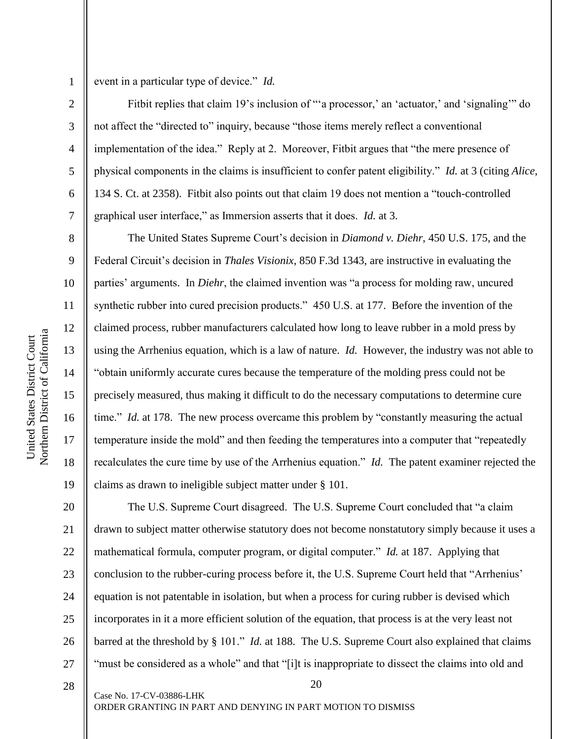2

3

4

5

6

7

8

9

10

11

12

13

14

15

16

17

18

19

event in a particular type of device." *Id.*

Fitbit replies that claim 19's inclusion of ""a processor,' an 'actuator,' and 'signaling'" do not affect the "directed to" inquiry, because "those items merely reflect a conventional implementation of the idea." Reply at 2. Moreover, Fitbit argues that "the mere presence of physical components in the claims is insufficient to confer patent eligibility." *Id.* at 3 (citing *Alice*, 134 S. Ct. at 2358). Fitbit also points out that claim 19 does not mention a "touch-controlled graphical user interface," as Immersion asserts that it does. *Id.* at 3.

The United States Supreme Court's decision in *Diamond v. Diehr*, 450 U.S. 175, and the Federal Circuit's decision in *Thales Visionix*, 850 F.3d 1343, are instructive in evaluating the parties' arguments. In *Diehr*, the claimed invention was "a process for molding raw, uncured synthetic rubber into cured precision products." 450 U.S. at 177. Before the invention of the claimed process, rubber manufacturers calculated how long to leave rubber in a mold press by using the Arrhenius equation, which is a law of nature. *Id.* However, the industry was not able to "obtain uniformly accurate cures because the temperature of the molding press could not be precisely measured, thus making it difficult to do the necessary computations to determine cure time." *Id.* at 178. The new process overcame this problem by "constantly measuring the actual temperature inside the mold" and then feeding the temperatures into a computer that "repeatedly recalculates the cure time by use of the Arrhenius equation." *Id.* The patent examiner rejected the claims as drawn to ineligible subject matter under § 101.

20 21 22 23 24 25 26 27 The U.S. Supreme Court disagreed. The U.S. Supreme Court concluded that "a claim drawn to subject matter otherwise statutory does not become nonstatutory simply because it uses a mathematical formula, computer program, or digital computer." *Id.* at 187. Applying that conclusion to the rubber-curing process before it, the U.S. Supreme Court held that "Arrhenius' equation is not patentable in isolation, but when a process for curing rubber is devised which incorporates in it a more efficient solution of the equation, that process is at the very least not barred at the threshold by § 101." *Id.* at 188. The U.S. Supreme Court also explained that claims "must be considered as a whole" and that "[i]t is inappropriate to dissect the claims into old and

20

28

Case No. 17-CV-03886-LHK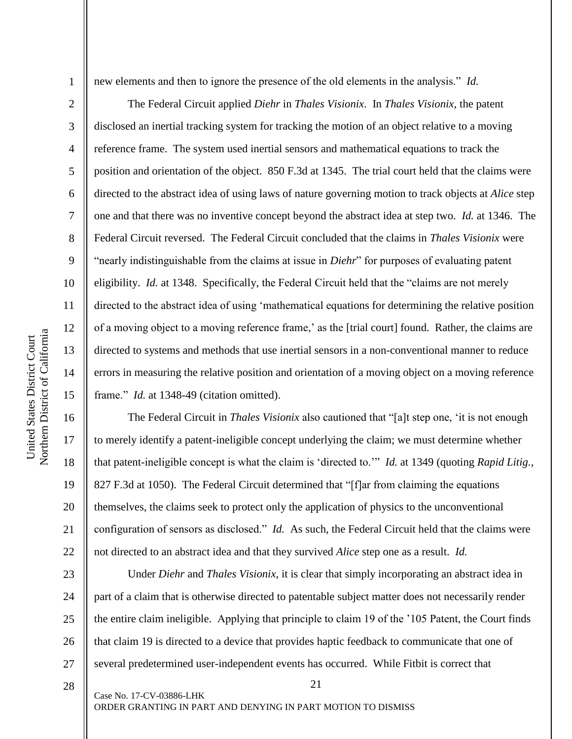2

3

4

5

6

7

8

9

10

11

12

13

14

15

17

18

19

21

new elements and then to ignore the presence of the old elements in the analysis." *Id.*

The Federal Circuit applied *Diehr* in *Thales Visionix*. In *Thales Visionix*, the patent disclosed an inertial tracking system for tracking the motion of an object relative to a moving reference frame. The system used inertial sensors and mathematical equations to track the position and orientation of the object. 850 F.3d at 1345. The trial court held that the claims were directed to the abstract idea of using laws of nature governing motion to track objects at *Alice* step one and that there was no inventive concept beyond the abstract idea at step two. *Id.* at 1346. The Federal Circuit reversed. The Federal Circuit concluded that the claims in *Thales Visionix* were "nearly indistinguishable from the claims at issue in *Diehr*" for purposes of evaluating patent eligibility. *Id.* at 1348. Specifically, the Federal Circuit held that the "claims are not merely directed to the abstract idea of using 'mathematical equations for determining the relative position of a moving object to a moving reference frame,' as the [trial court] found. Rather, the claims are directed to systems and methods that use inertial sensors in a non-conventional manner to reduce errors in measuring the relative position and orientation of a moving object on a moving reference frame." *Id.* at 1348-49 (citation omitted).

16 20 22 The Federal Circuit in *Thales Visionix* also cautioned that "[a]t step one, 'it is not enough to merely identify a patent-ineligible concept underlying the claim; we must determine whether that patent-ineligible concept is what the claim is 'directed to.'" *Id.* at 1349 (quoting *Rapid Litig.*, 827 F.3d at 1050). The Federal Circuit determined that "[f]ar from claiming the equations themselves, the claims seek to protect only the application of physics to the unconventional configuration of sensors as disclosed." *Id.* As such, the Federal Circuit held that the claims were not directed to an abstract idea and that they survived *Alice* step one as a result. *Id.*

23 24 25 26 27 Under *Diehr* and *Thales Visionix*, it is clear that simply incorporating an abstract idea in part of a claim that is otherwise directed to patentable subject matter does not necessarily render the entire claim ineligible. Applying that principle to claim 19 of the '105 Patent, the Court finds that claim 19 is directed to a device that provides haptic feedback to communicate that one of several predetermined user-independent events has occurred. While Fitbit is correct that

21

28

Case No. 17-CV-03886-LHK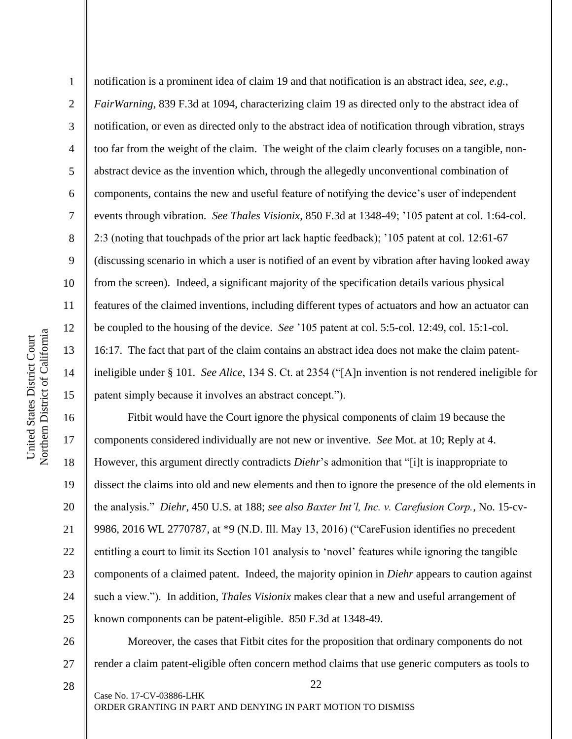2

3

4

notification is a prominent idea of claim 19 and that notification is an abstract idea, *see, e.g.*, *FairWarning*, 839 F.3d at 1094, characterizing claim 19 as directed only to the abstract idea of notification, or even as directed only to the abstract idea of notification through vibration, strays too far from the weight of the claim. The weight of the claim clearly focuses on a tangible, nonabstract device as the invention which, through the allegedly unconventional combination of components, contains the new and useful feature of notifying the device's user of independent events through vibration. *See Thales Visionix*, 850 F.3d at 1348-49; '105 patent at col. 1:64-col. 2:3 (noting that touchpads of the prior art lack haptic feedback); '105 patent at col. 12:61-67 (discussing scenario in which a user is notified of an event by vibration after having looked away from the screen). Indeed, a significant majority of the specification details various physical features of the claimed inventions, including different types of actuators and how an actuator can be coupled to the housing of the device. *See* '105 patent at col. 5:5-col. 12:49, col. 15:1-col. 16:17. The fact that part of the claim contains an abstract idea does not make the claim patentineligible under § 101. *See Alice*, 134 S. Ct. at 2354 ("[A]n invention is not rendered ineligible for patent simply because it involves an abstract concept.").

18 19 20 21 22 23 24 25 Fitbit would have the Court ignore the physical components of claim 19 because the components considered individually are not new or inventive. *See* Mot. at 10; Reply at 4. However, this argument directly contradicts *Diehr*'s admonition that "[i]t is inappropriate to dissect the claims into old and new elements and then to ignore the presence of the old elements in the analysis." *Diehr*, 450 U.S. at 188; *see also Baxter Int'l, Inc. v. Carefusion Corp.*, No. 15-cv-9986, 2016 WL 2770787, at \*9 (N.D. Ill. May 13, 2016) ("CareFusion identifies no precedent entitling a court to limit its Section 101 analysis to 'novel' features while ignoring the tangible components of a claimed patent. Indeed, the majority opinion in *Diehr* appears to caution against such a view."). In addition, *Thales Visionix* makes clear that a new and useful arrangement of known components can be patent-eligible. 850 F.3d at 1348-49.

26 27 Moreover, the cases that Fitbit cites for the proposition that ordinary components do not render a claim patent-eligible often concern method claims that use generic computers as tools to

22

Case No. 17-CV-03886-LHK

28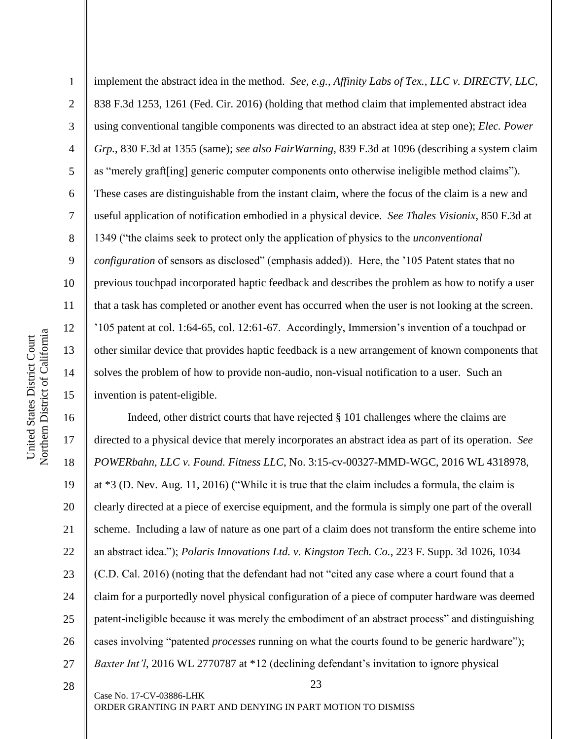1 2 3 4 5 6 7 8 9 10 11 12 13 14 15 implement the abstract idea in the method. *See, e.g.*, *Affinity Labs of Tex., LLC v. DIRECTV, LLC*, 838 F.3d 1253, 1261 (Fed. Cir. 2016) (holding that method claim that implemented abstract idea using conventional tangible components was directed to an abstract idea at step one); *Elec. Power Grp.*, 830 F.3d at 1355 (same); *see also FairWarning*, 839 F.3d at 1096 (describing a system claim as "merely graft[ing] generic computer components onto otherwise ineligible method claims"). These cases are distinguishable from the instant claim, where the focus of the claim is a new and useful application of notification embodied in a physical device. *See Thales Visionix*, 850 F.3d at 1349 ("the claims seek to protect only the application of physics to the *unconventional configuration* of sensors as disclosed" (emphasis added)). Here, the '105 Patent states that no previous touchpad incorporated haptic feedback and describes the problem as how to notify a user that a task has completed or another event has occurred when the user is not looking at the screen. '105 patent at col. 1:64-65, col. 12:61-67. Accordingly, Immersion's invention of a touchpad or other similar device that provides haptic feedback is a new arrangement of known components that solves the problem of how to provide non-audio, non-visual notification to a user. Such an invention is patent-eligible.

16 17 18 19 20 21 22 23 24 25 26 27 Indeed, other district courts that have rejected § 101 challenges where the claims are directed to a physical device that merely incorporates an abstract idea as part of its operation. *See POWERbahn, LLC v. Found. Fitness LLC*, No. 3:15-cv-00327-MMD-WGC, 2016 WL 4318978, at \*3 (D. Nev. Aug. 11, 2016) ("While it is true that the claim includes a formula, the claim is clearly directed at a piece of exercise equipment, and the formula is simply one part of the overall scheme. Including a law of nature as one part of a claim does not transform the entire scheme into an abstract idea."); *Polaris Innovations Ltd. v. Kingston Tech. Co.*, 223 F. Supp. 3d 1026, 1034 (C.D. Cal. 2016) (noting that the defendant had not "cited any case where a court found that a claim for a purportedly novel physical configuration of a piece of computer hardware was deemed patent-ineligible because it was merely the embodiment of an abstract process" and distinguishing cases involving "patented *processes* running on what the courts found to be generic hardware"); *Baxter Int'l*, 2016 WL 2770787 at \*12 (declining defendant's invitation to ignore physical

28

Case No. 17-CV-03886-LHK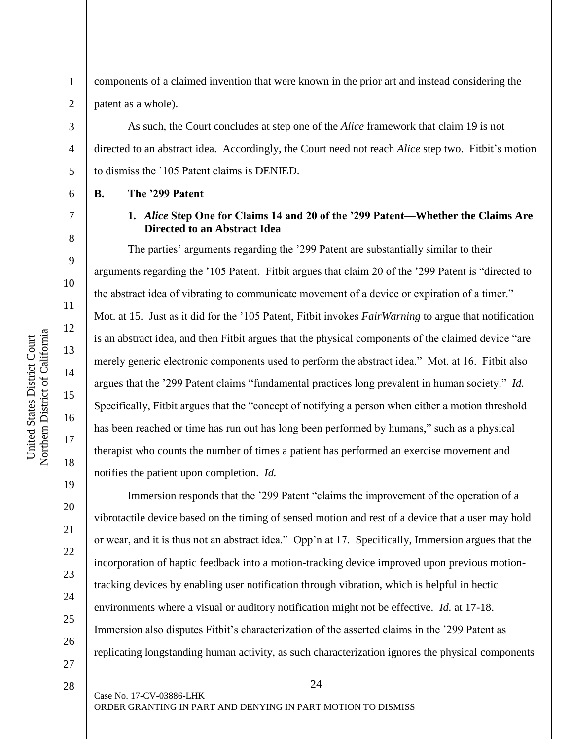1 2 components of a claimed invention that were known in the prior art and instead considering the patent as a whole).

As such, the Court concludes at step one of the *Alice* framework that claim 19 is not directed to an abstract idea. Accordingly, the Court need not reach *Alice* step two. Fitbit's motion to dismiss the '105 Patent claims is DENIED.

**B. The '299 Patent**

3

4

5

6

7

8

9

10

11

12

13

14

15

16

17

18

19

20

21

22

23

24

25

26

27

28

## **1.** *Alice* **Step One for Claims 14 and 20 of the '299 Patent—Whether the Claims Are Directed to an Abstract Idea**

The parties' arguments regarding the '299 Patent are substantially similar to their arguments regarding the '105 Patent. Fitbit argues that claim 20 of the '299 Patent is "directed to the abstract idea of vibrating to communicate movement of a device or expiration of a timer." Mot. at 15. Just as it did for the '105 Patent, Fitbit invokes *FairWarning* to argue that notification is an abstract idea, and then Fitbit argues that the physical components of the claimed device "are merely generic electronic components used to perform the abstract idea." Mot. at 16. Fitbit also argues that the '299 Patent claims "fundamental practices long prevalent in human society." *Id.* Specifically, Fitbit argues that the "concept of notifying a person when either a motion threshold has been reached or time has run out has long been performed by humans," such as a physical therapist who counts the number of times a patient has performed an exercise movement and notifies the patient upon completion. *Id.*

Immersion responds that the '299 Patent "claims the improvement of the operation of a vibrotactile device based on the timing of sensed motion and rest of a device that a user may hold or wear, and it is thus not an abstract idea." Opp'n at 17. Specifically, Immersion argues that the incorporation of haptic feedback into a motion-tracking device improved upon previous motiontracking devices by enabling user notification through vibration, which is helpful in hectic environments where a visual or auditory notification might not be effective. *Id.* at 17-18. Immersion also disputes Fitbit's characterization of the asserted claims in the '299 Patent as replicating longstanding human activity, as such characterization ignores the physical components

24

Case No. 17-CV-03886-LHK

Northern District of California Northern District of California United States District Court United States District Court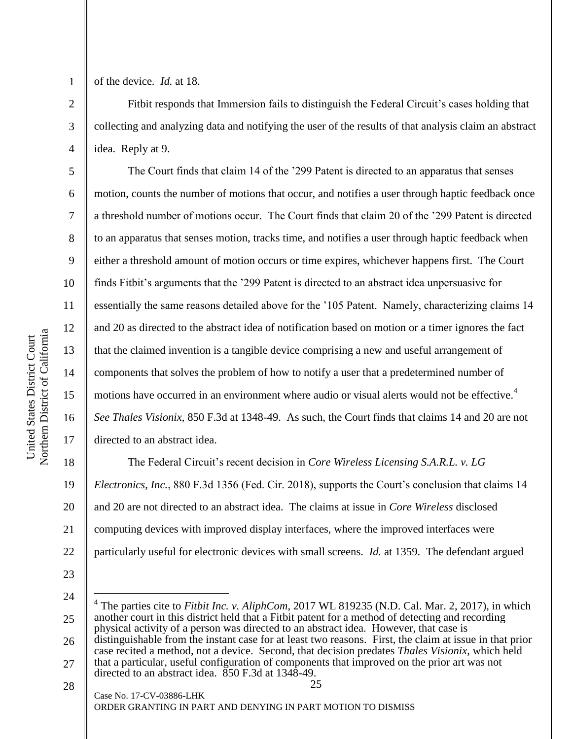of the device. *Id.* at 18.

1

2

3

4

5

6

7

8

9

10

11

12

13

14

15

16

17

Fitbit responds that Immersion fails to distinguish the Federal Circuit's cases holding that collecting and analyzing data and notifying the user of the results of that analysis claim an abstract idea. Reply at 9.

The Court finds that claim 14 of the '299 Patent is directed to an apparatus that senses motion, counts the number of motions that occur, and notifies a user through haptic feedback once a threshold number of motions occur. The Court finds that claim 20 of the '299 Patent is directed to an apparatus that senses motion, tracks time, and notifies a user through haptic feedback when either a threshold amount of motion occurs or time expires, whichever happens first. The Court finds Fitbit's arguments that the '299 Patent is directed to an abstract idea unpersuasive for essentially the same reasons detailed above for the '105 Patent. Namely, characterizing claims 14 and 20 as directed to the abstract idea of notification based on motion or a timer ignores the fact that the claimed invention is a tangible device comprising a new and useful arrangement of components that solves the problem of how to notify a user that a predetermined number of motions have occurred in an environment where audio or visual alerts would not be effective.<sup>4</sup> *See Thales Visionix*, 850 F.3d at 1348-49. As such, the Court finds that claims 14 and 20 are not directed to an abstract idea.

18 19 20 21 22 The Federal Circuit's recent decision in *Core Wireless Licensing S.A.R.L. v. LG Electronics, Inc.*, 880 F.3d 1356 (Fed. Cir. 2018), supports the Court's conclusion that claims 14 and 20 are not directed to an abstract idea. The claims at issue in *Core Wireless* disclosed computing devices with improved display interfaces, where the improved interfaces were particularly useful for electronic devices with small screens. *Id.* at 1359. The defendant argued

23 24

 $\overline{a}$ 

<sup>25</sup> 26 27 4 The parties cite to *Fitbit Inc. v. AliphCom*, 2017 WL 819235 (N.D. Cal. Mar. 2, 2017), in which another court in this district held that a Fitbit patent for a method of detecting and recording physical activity of a person was directed to an abstract idea. However, that case is distinguishable from the instant case for at least two reasons. First, the claim at issue in that prior case recited a method, not a device. Second, that decision predates *Thales Visionix*, which held that a particular, useful configuration of components that improved on the prior art was not directed to an abstract idea. 850 F.3d at 1348-49.

<sup>25</sup> Case No. 17-CV-03886-LHK ORDER GRANTING IN PART AND DENYING IN PART MOTION TO DISMISS 28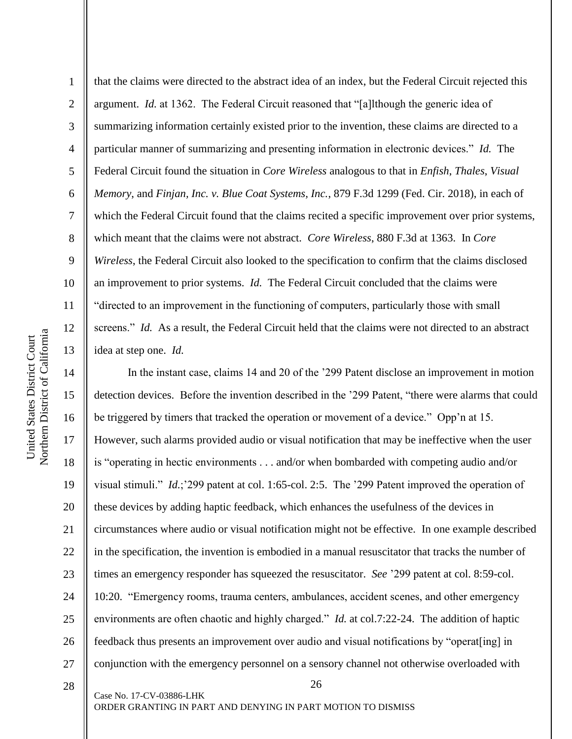2

3

4

5

that the claims were directed to the abstract idea of an index, but the Federal Circuit rejected this argument. *Id.* at 1362. The Federal Circuit reasoned that "[a]lthough the generic idea of summarizing information certainly existed prior to the invention, these claims are directed to a particular manner of summarizing and presenting information in electronic devices." *Id.* The Federal Circuit found the situation in *Core Wireless* analogous to that in *Enfish*, *Thales*, *Visual Memory*, and *Finjan, Inc. v. Blue Coat Systems, Inc.*, 879 F.3d 1299 (Fed. Cir. 2018), in each of which the Federal Circuit found that the claims recited a specific improvement over prior systems, which meant that the claims were not abstract. *Core Wireless*, 880 F.3d at 1363. In *Core Wireless*, the Federal Circuit also looked to the specification to confirm that the claims disclosed an improvement to prior systems. *Id.* The Federal Circuit concluded that the claims were "directed to an improvement in the functioning of computers, particularly those with small screens." *Id.* As a result, the Federal Circuit held that the claims were not directed to an abstract idea at step one. *Id.*

26 18 19 20 21 22 23 24 25 26 27 In the instant case, claims 14 and 20 of the '299 Patent disclose an improvement in motion detection devices. Before the invention described in the '299 Patent, "there were alarms that could be triggered by timers that tracked the operation or movement of a device." Opp'n at 15. However, such alarms provided audio or visual notification that may be ineffective when the user is "operating in hectic environments . . . and/or when bombarded with competing audio and/or visual stimuli." *Id.*;'299 patent at col. 1:65-col. 2:5. The '299 Patent improved the operation of these devices by adding haptic feedback, which enhances the usefulness of the devices in circumstances where audio or visual notification might not be effective. In one example described in the specification, the invention is embodied in a manual resuscitator that tracks the number of times an emergency responder has squeezed the resuscitator. *See* '299 patent at col. 8:59-col. 10:20. "Emergency rooms, trauma centers, ambulances, accident scenes, and other emergency environments are often chaotic and highly charged." *Id.* at col.7:22-24. The addition of haptic feedback thus presents an improvement over audio and visual notifications by "operat[ing] in conjunction with the emergency personnel on a sensory channel not otherwise overloaded with

28

Case No. 17-CV-03886-LHK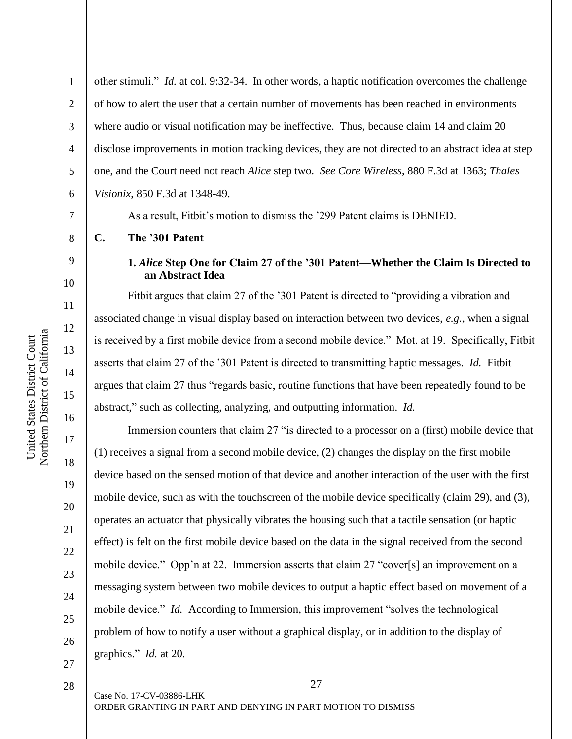other stimuli." *Id.* at col. 9:32-34. In other words, a haptic notification overcomes the challenge of how to alert the user that a certain number of movements has been reached in environments where audio or visual notification may be ineffective. Thus, because claim 14 and claim 20 disclose improvements in motion tracking devices, they are not directed to an abstract idea at step one, and the Court need not reach *Alice* step two. *See Core Wireless*, 880 F.3d at 1363; *Thales Visionix*, 850 F.3d at 1348-49.

As a result, Fitbit's motion to dismiss the '299 Patent claims is DENIED.

**C. The '301 Patent**

## **1.** *Alice* **Step One for Claim 27 of the '301 Patent—Whether the Claim Is Directed to an Abstract Idea**

Fitbit argues that claim 27 of the '301 Patent is directed to "providing a vibration and associated change in visual display based on interaction between two devices, *e.g.*, when a signal is received by a first mobile device from a second mobile device." Mot. at 19. Specifically, Fitbit asserts that claim 27 of the '301 Patent is directed to transmitting haptic messages. *Id.* Fitbit argues that claim 27 thus "regards basic, routine functions that have been repeatedly found to be abstract," such as collecting, analyzing, and outputting information. *Id.*

Immersion counters that claim 27 "is directed to a processor on a (first) mobile device that (1) receives a signal from a second mobile device, (2) changes the display on the first mobile device based on the sensed motion of that device and another interaction of the user with the first mobile device, such as with the touchscreen of the mobile device specifically (claim 29), and (3), operates an actuator that physically vibrates the housing such that a tactile sensation (or haptic effect) is felt on the first mobile device based on the data in the signal received from the second mobile device." Opp'n at 22. Immersion asserts that claim 27 "cover[s] an improvement on a messaging system between two mobile devices to output a haptic effect based on movement of a mobile device." *Id.* According to Immersion, this improvement "solves the technological problem of how to notify a user without a graphical display, or in addition to the display of graphics." *Id.* at 20.

27 Case No. 17-CV-03886-LHK ORDER GRANTING IN PART AND DENYING IN PART MOTION TO DISMISS

1

2

3

4

5

6

7

8

9

10

11

12

13

14

15

16

17

18

19

20

21

22

23

24

25

26

27

28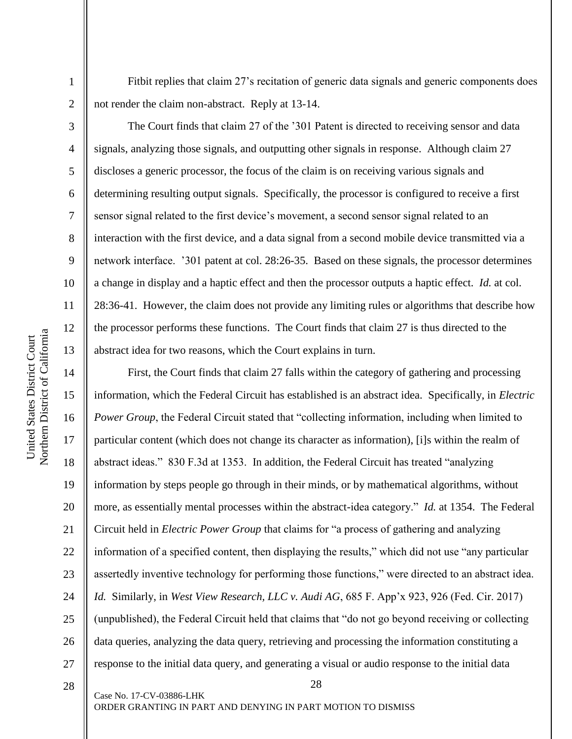Fitbit replies that claim 27's recitation of generic data signals and generic components does not render the claim non-abstract. Reply at 13-14.

2 3

4

5

6

7

8

9

10

11

12

13

1

The Court finds that claim 27 of the '301 Patent is directed to receiving sensor and data signals, analyzing those signals, and outputting other signals in response. Although claim 27 discloses a generic processor, the focus of the claim is on receiving various signals and determining resulting output signals. Specifically, the processor is configured to receive a first sensor signal related to the first device's movement, a second sensor signal related to an interaction with the first device, and a data signal from a second mobile device transmitted via a network interface. '301 patent at col. 28:26-35. Based on these signals, the processor determines a change in display and a haptic effect and then the processor outputs a haptic effect. *Id.* at col. 28:36-41. However, the claim does not provide any limiting rules or algorithms that describe how the processor performs these functions. The Court finds that claim 27 is thus directed to the abstract idea for two reasons, which the Court explains in turn.

14 15 16 17 18 19 20 21 22 23 24 25 26 27 First, the Court finds that claim 27 falls within the category of gathering and processing information, which the Federal Circuit has established is an abstract idea. Specifically, in *Electric Power Group*, the Federal Circuit stated that "collecting information, including when limited to particular content (which does not change its character as information), [i]s within the realm of abstract ideas." 830 F.3d at 1353. In addition, the Federal Circuit has treated "analyzing information by steps people go through in their minds, or by mathematical algorithms, without more, as essentially mental processes within the abstract-idea category." *Id.* at 1354. The Federal Circuit held in *Electric Power Group* that claims for "a process of gathering and analyzing information of a specified content, then displaying the results," which did not use "any particular assertedly inventive technology for performing those functions," were directed to an abstract idea. *Id.* Similarly, in *West View Research, LLC v. Audi AG*, 685 F. App'x 923, 926 (Fed. Cir. 2017) (unpublished), the Federal Circuit held that claims that "do not go beyond receiving or collecting data queries, analyzing the data query, retrieving and processing the information constituting a response to the initial data query, and generating a visual or audio response to the initial data

28

28

Case No. 17-CV-03886-LHK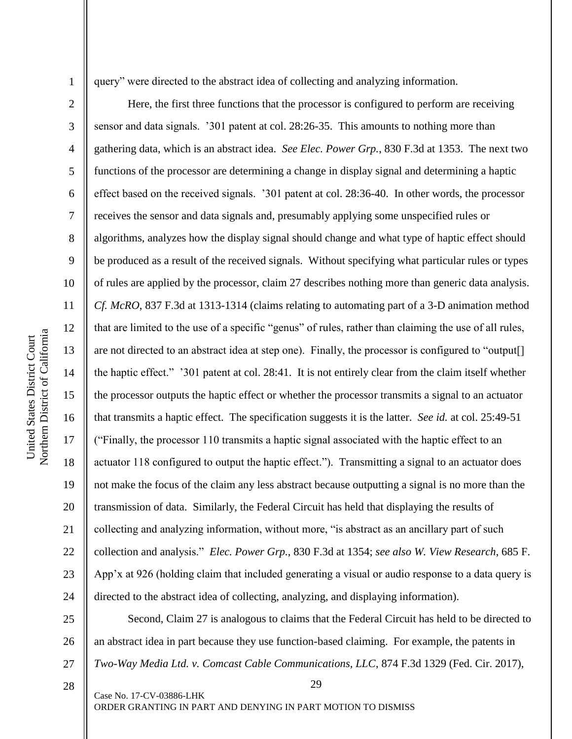3

4

5

7

8

9

11

12

13

14

17

18

19

21

23

28

query" were directed to the abstract idea of collecting and analyzing information.

6 10 15 16 20 22 24 Here, the first three functions that the processor is configured to perform are receiving sensor and data signals. '301 patent at col. 28:26-35. This amounts to nothing more than gathering data, which is an abstract idea. *See Elec. Power Grp.*, 830 F.3d at 1353. The next two functions of the processor are determining a change in display signal and determining a haptic effect based on the received signals. '301 patent at col. 28:36-40. In other words, the processor receives the sensor and data signals and, presumably applying some unspecified rules or algorithms, analyzes how the display signal should change and what type of haptic effect should be produced as a result of the received signals. Without specifying what particular rules or types of rules are applied by the processor, claim 27 describes nothing more than generic data analysis. *Cf. McRO*, 837 F.3d at 1313-1314 (claims relating to automating part of a 3-D animation method that are limited to the use of a specific "genus" of rules, rather than claiming the use of all rules, are not directed to an abstract idea at step one). Finally, the processor is configured to "output[] the haptic effect." '301 patent at col. 28:41. It is not entirely clear from the claim itself whether the processor outputs the haptic effect or whether the processor transmits a signal to an actuator that transmits a haptic effect. The specification suggests it is the latter. *See id.* at col. 25:49-51 ("Finally, the processor 110 transmits a haptic signal associated with the haptic effect to an actuator 118 configured to output the haptic effect."). Transmitting a signal to an actuator does not make the focus of the claim any less abstract because outputting a signal is no more than the transmission of data. Similarly, the Federal Circuit has held that displaying the results of collecting and analyzing information, without more, "is abstract as an ancillary part of such collection and analysis." *Elec. Power Grp.*, 830 F.3d at 1354; *see also W. View Research*, 685 F. App'x at 926 (holding claim that included generating a visual or audio response to a data query is directed to the abstract idea of collecting, analyzing, and displaying information).

25 26 27 Second, Claim 27 is analogous to claims that the Federal Circuit has held to be directed to an abstract idea in part because they use function-based claiming. For example, the patents in *Two-Way Media Ltd. v. Comcast Cable Communications, LLC*, 874 F.3d 1329 (Fed. Cir. 2017),

29

Case No. 17-CV-03886-LHK ORDER GRANTING IN PART AND DENYING IN PART MOTION TO DISMISS

Northern District of California Northern District of California United States District Court United States District Court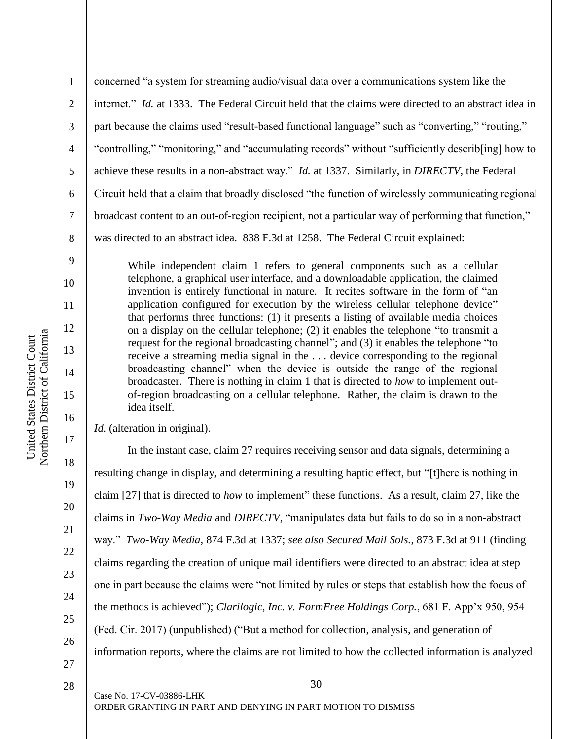1 2 3 4 5 6 7 8 concerned "a system for streaming audio/visual data over a communications system like the internet." *Id.* at 1333. The Federal Circuit held that the claims were directed to an abstract idea in part because the claims used "result-based functional language" such as "converting," "routing," "controlling," "monitoring," and "accumulating records" without "sufficiently describ[ing] how to achieve these results in a non-abstract way." *Id.* at 1337. Similarly, in *DIRECTV*, the Federal Circuit held that a claim that broadly disclosed "the function of wirelessly communicating regional broadcast content to an out-of-region recipient, not a particular way of performing that function," was directed to an abstract idea. 838 F.3d at 1258. The Federal Circuit explained:

While independent claim 1 refers to general components such as a cellular telephone, a graphical user interface, and a downloadable application, the claimed invention is entirely functional in nature. It recites software in the form of "an application configured for execution by the wireless cellular telephone device" that performs three functions: (1) it presents a listing of available media choices on a display on the cellular telephone; (2) it enables the telephone "to transmit a request for the regional broadcasting channel"; and (3) it enables the telephone "to receive a streaming media signal in the . . . device corresponding to the regional broadcasting channel" when the device is outside the range of the regional broadcaster. There is nothing in claim 1 that is directed to *how* to implement outof-region broadcasting on a cellular telephone. Rather, the claim is drawn to the idea itself.

*Id.* (alteration in original).

In the instant case, claim 27 requires receiving sensor and data signals, determining a resulting change in display, and determining a resulting haptic effect, but "[t]here is nothing in claim [27] that is directed to *how* to implement" these functions. As a result, claim 27, like the claims in *Two-Way Media* and *DIRECTV*, "manipulates data but fails to do so in a non-abstract way." *Two-Way Media*, 874 F.3d at 1337; *see also Secured Mail Sols.*, 873 F.3d at 911 (finding claims regarding the creation of unique mail identifiers were directed to an abstract idea at step one in part because the claims were "not limited by rules or steps that establish how the focus of the methods is achieved"); *Clarilogic, Inc. v. FormFree Holdings Corp.*, 681 F. App'x 950, 954 (Fed. Cir. 2017) (unpublished) ("But a method for collection, analysis, and generation of information reports, where the claims are not limited to how the collected information is analyzed

27 28

9

10

11

12

13

14

15

16

17

18

19

20

21

22

23

24

25

26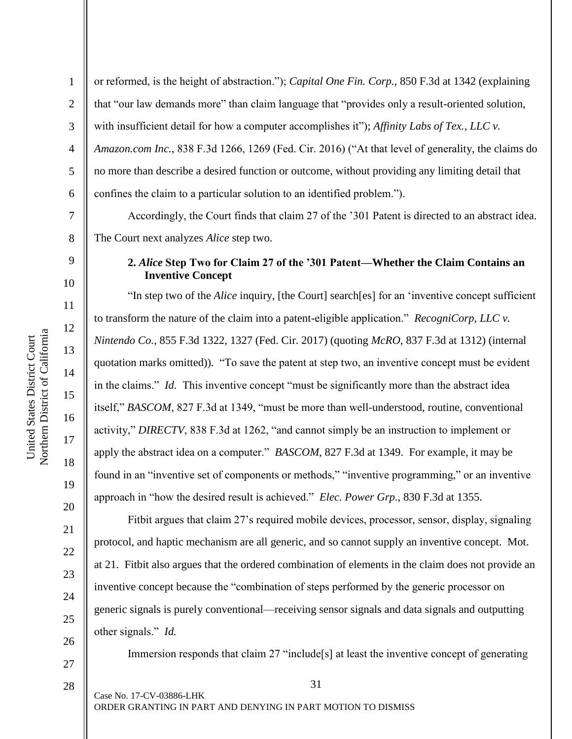2

3

5

7

8

9

10

11

12

13

14

15

16

17

18

19

20

21

22

23

24

25

26

27

4 6 or reformed, is the height of abstraction."); *Capital One Fin. Corp.*, 850 F.3d at 1342 (explaining that "our law demands more" than claim language that "provides only a result-oriented solution, with insufficient detail for how a computer accomplishes it"); *Affinity Labs of Tex., LLC v. Amazon.com Inc.*, 838 F.3d 1266, 1269 (Fed. Cir. 2016) ("At that level of generality, the claims do no more than describe a desired function or outcome, without providing any limiting detail that confines the claim to a particular solution to an identified problem.").

Accordingly, the Court finds that claim 27 of the '301 Patent is directed to an abstract idea. The Court next analyzes *Alice* step two.

## **2.** *Alice* **Step Two for Claim 27 of the '301 Patent—Whether the Claim Contains an Inventive Concept**

"In step two of the *Alice* inquiry, [the Court] search[es] for an 'inventive concept sufficient to transform the nature of the claim into a patent-eligible application." *RecogniCorp, LLC v. Nintendo Co.*, 855 F.3d 1322, 1327 (Fed. Cir. 2017) (quoting *McRO*, 837 F.3d at 1312) (internal quotation marks omitted)). "To save the patent at step two, an inventive concept must be evident in the claims." *Id.* This inventive concept "must be significantly more than the abstract idea itself," *BASCOM*, 827 F.3d at 1349, "must be more than well-understood, routine, conventional activity," *DIRECTV*, 838 F.3d at 1262, "and cannot simply be an instruction to implement or apply the abstract idea on a computer." *BASCOM*, 827 F.3d at 1349. For example, it may be found in an "inventive set of components or methods," "inventive programming," or an inventive approach in "how the desired result is achieved." *Elec. Power Grp.*, 830 F.3d at 1355.

Fitbit argues that claim 27's required mobile devices, processor, sensor, display, signaling protocol, and haptic mechanism are all generic, and so cannot supply an inventive concept. Mot. at 21. Fitbit also argues that the ordered combination of elements in the claim does not provide an inventive concept because the "combination of steps performed by the generic processor on generic signals is purely conventional—receiving sensor signals and data signals and outputting other signals." *Id.*

Immersion responds that claim 27 "include[s] at least the inventive concept of generating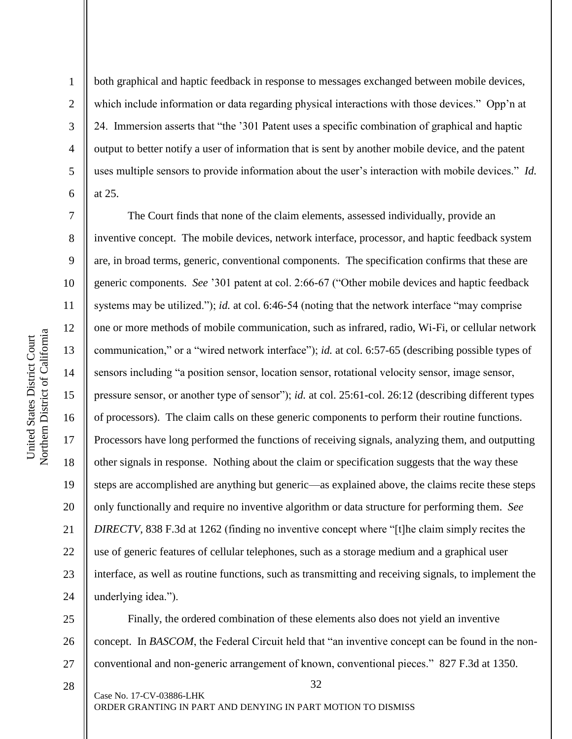1

2

3

4

5

6

both graphical and haptic feedback in response to messages exchanged between mobile devices, which include information or data regarding physical interactions with those devices." Opp'n at 24. Immersion asserts that "the '301 Patent uses a specific combination of graphical and haptic output to better notify a user of information that is sent by another mobile device, and the patent uses multiple sensors to provide information about the user's interaction with mobile devices." *Id.*  at 25.

7 8 9 10 11 12 13 14 15 16 17 18 19 20 21 22 23 24 The Court finds that none of the claim elements, assessed individually, provide an inventive concept. The mobile devices, network interface, processor, and haptic feedback system are, in broad terms, generic, conventional components. The specification confirms that these are generic components. *See* '301 patent at col. 2:66-67 ("Other mobile devices and haptic feedback systems may be utilized."); *id.* at col. 6:46-54 (noting that the network interface "may comprise") one or more methods of mobile communication, such as infrared, radio, Wi-Fi, or cellular network communication," or a "wired network interface"); *id.* at col. 6:57-65 (describing possible types of sensors including "a position sensor, location sensor, rotational velocity sensor, image sensor, pressure sensor, or another type of sensor"); *id.* at col. 25:61-col. 26:12 (describing different types of processors). The claim calls on these generic components to perform their routine functions. Processors have long performed the functions of receiving signals, analyzing them, and outputting other signals in response. Nothing about the claim or specification suggests that the way these steps are accomplished are anything but generic—as explained above, the claims recite these steps only functionally and require no inventive algorithm or data structure for performing them. *See DIRECTV*, 838 F.3d at 1262 (finding no inventive concept where "[t]he claim simply recites the use of generic features of cellular telephones, such as a storage medium and a graphical user interface, as well as routine functions, such as transmitting and receiving signals, to implement the underlying idea.").

25 26 27 Finally, the ordered combination of these elements also does not yield an inventive concept. In *BASCOM*, the Federal Circuit held that "an inventive concept can be found in the nonconventional and non-generic arrangement of known, conventional pieces." 827 F.3d at 1350.

Case No. 17-CV-03886-LHK ORDER GRANTING IN PART AND DENYING IN PART MOTION TO DISMISS

32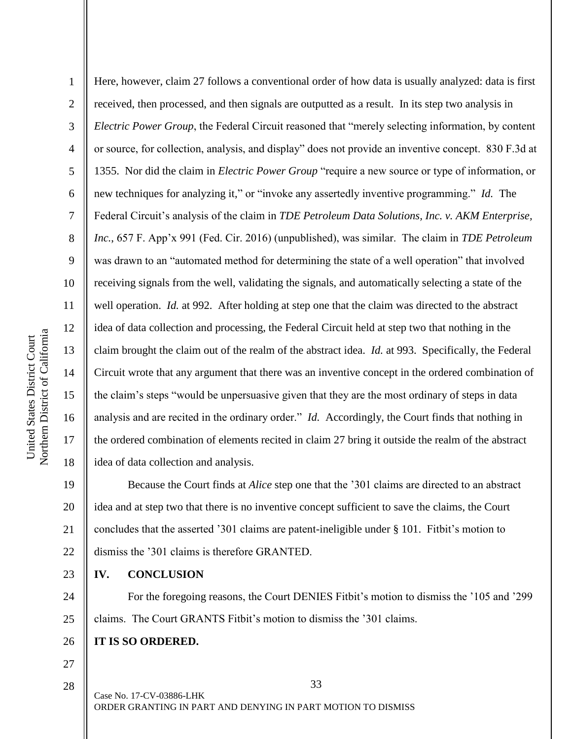1 2 3 4 5 6 7 8 9 10 11 12 13 14 15 16 17 18 Here, however, claim 27 follows a conventional order of how data is usually analyzed: data is first received, then processed, and then signals are outputted as a result. In its step two analysis in *Electric Power Group*, the Federal Circuit reasoned that "merely selecting information, by content or source, for collection, analysis, and display" does not provide an inventive concept. 830 F.3d at 1355. Nor did the claim in *Electric Power Group* "require a new source or type of information, or new techniques for analyzing it," or "invoke any assertedly inventive programming." *Id.* The Federal Circuit's analysis of the claim in *TDE Petroleum Data Solutions, Inc. v. AKM Enterprise, Inc.*, 657 F. App'x 991 (Fed. Cir. 2016) (unpublished), was similar. The claim in *TDE Petroleum*  was drawn to an "automated method for determining the state of a well operation" that involved receiving signals from the well, validating the signals, and automatically selecting a state of the well operation. *Id.* at 992. After holding at step one that the claim was directed to the abstract idea of data collection and processing, the Federal Circuit held at step two that nothing in the claim brought the claim out of the realm of the abstract idea. *Id.* at 993. Specifically, the Federal Circuit wrote that any argument that there was an inventive concept in the ordered combination of the claim's steps "would be unpersuasive given that they are the most ordinary of steps in data analysis and are recited in the ordinary order." *Id.* Accordingly, the Court finds that nothing in the ordered combination of elements recited in claim 27 bring it outside the realm of the abstract idea of data collection and analysis.

19 20 21 22 Because the Court finds at *Alice* step one that the '301 claims are directed to an abstract idea and at step two that there is no inventive concept sufficient to save the claims, the Court concludes that the asserted '301 claims are patent-ineligible under § 101. Fitbit's motion to dismiss the '301 claims is therefore GRANTED.

**IV. CONCLUSION**

24 25 For the foregoing reasons, the Court DENIES Fitbit's motion to dismiss the '105 and '299 claims. The Court GRANTS Fitbit's motion to dismiss the '301 claims.

- 26 **IT IS SO ORDERED.**
- 27 28

23